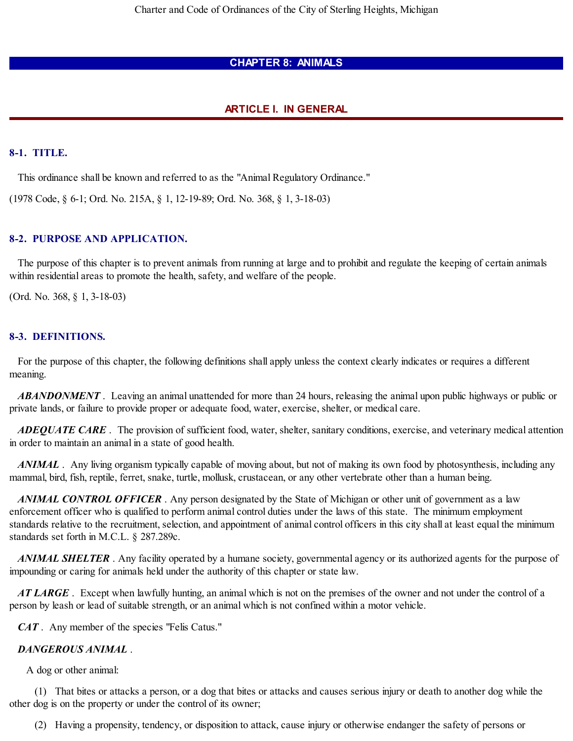# **CHAPTER 8: ANIMALS**

# **ARTICLE I. IN GENERAL**

## **8-1. TITLE.**

This ordinance shall be known and referred to as the "Animal Regulatory Ordinance."

(1978 Code, § 6-1; Ord. No. 215A, § 1, 12-19-89; Ord. No. 368, § 1, 3-18-03)

# **8-2. PURPOSE AND APPLICATION.**

The purpose of this chapter is to prevent animals from running at large and to prohibit and regulate the keeping of certain animals within residential areas to promote the health, safety, and welfare of the people.

(Ord. No. 368, § 1, 3-18-03)

# **8-3. DEFINITIONS.**

For the purpose of this chapter, the following definitions shall apply unless the context clearly indicates or requires a different meaning.

*ABANDONMENT* . Leaving an animal unattended for more than 24 hours, releasing the animal upon public highways or public or private lands, or failure to provide proper or adequate food, water, exercise, shelter, or medical care.

*ADEQUATE CARE* . The provision of sufficient food, water, shelter, sanitary conditions, exercise, and veterinary medical attention in order to maintain an animal in a state of good health.

*ANIMAL* . Any living organism typically capable of moving about, but not of making its own food by photosynthesis, including any mammal, bird, fish, reptile, ferret, snake, turtle, mollusk, crustacean, or any other vertebrate other than a human being.

*ANIMAL CONTROL OFFICER* . Any person designated by the State of Michigan or other unit of government as a law enforcement officer who is qualified to perform animal control duties under the laws of this state. The minimum employment standards relative to the recruitment, selection, and appointment of animal control officers in this city shall at least equal the minimum standards set forth in M.C.L. § 287.289c.

*ANIMAL SHELTER* . Any facility operated by a humane society, governmental agency or its authorized agents for the purpose of impounding or caring for animals held under the authority of this chapter or state law.

*AT LARGE* . Except when lawfully hunting, an animal which is not on the premises of the owner and not under the control of a person by leash or lead of suitable strength, or an animal which is not confined within a motor vehicle.

*CAT* . Any member of the species "Felis Catus."

## *DANGEROUS ANIMAL* .

A dog or other animal:

(1) That bites or attacks a person, or a dog that bites or attacks and causes serious injury or death to another dog while the other dog is on the property or under the control of its owner;

(2) Having a propensity, tendency, or disposition to attack, cause injury or otherwise endanger the safety of persons or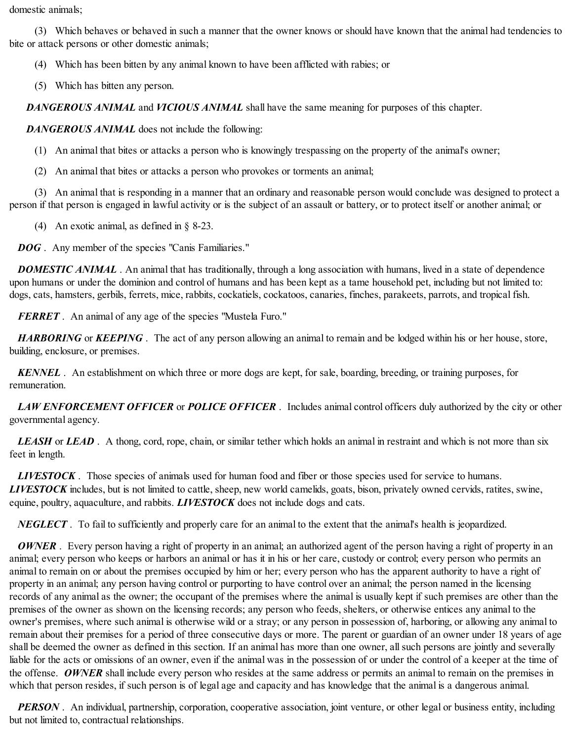domestic animals;

(3) Which behaves or behaved in such a manner that the owner knows or should have known that the animal had tendencies to bite or attack persons or other domestic animals;

(4) Which has been bitten by any animal known to have been afflicted with rabies; or

(5) Which has bitten any person.

*DANGEROUS ANIMAL* and *VICIOUS ANIMAL* shall have the same meaning for purposes of this chapter.

*DANGEROUS ANIMAL* does not include the following:

(1) An animal that bites or attacks a person who is knowingly trespassing on the property of the animal's owner;

(2) An animal that bites or attacks a person who provokes or torments an animal;

(3) An animal that is responding in a manner that an ordinary and reasonable person would conclude was designed to protect a person if that person is engaged in lawful activity or is the subject of an assault or battery, or to protect itself or another animal; or

(4) An exotic animal, as defined in § 8-23.

*DOG*. Any member of the species "Canis Familiaries."

*DOMESTIC ANIMAL* . An animal that has traditionally, through a long association with humans, lived in a state of dependence upon humans or under the dominion and control of humans and has been kept as a tame household pet, including but not limited to: dogs, cats, hamsters, gerbils, ferrets, mice, rabbits, cockatiels, cockatoos, canaries, finches, parakeets, parrots, and tropical fish.

*FERRET* . An animal of any age of the species "Mustela Furo."

*HARBORING* or *KEEPING*. The act of any person allowing an animal to remain and be lodged within his or her house, store, building, enclosure, or premises.

*KENNEL* . An establishment on which three or more dogs are kept, for sale, boarding, breeding, or training purposes, for remuneration.

*LAW ENFORCEMENT OFFICER* or *POLICE OFFICER* . Includes animal control officers duly authorized by the city or other governmental agency.

*LEASH* or *LEAD* . A thong, cord, rope, chain, or similar tether which holds an animal in restraint and which is not more than six feet in length.

*LIVESTOCK* . Those species of animals used for human food and fiber or those species used for service to humans. *LIVESTOCK* includes, but is not limited to cattle, sheep, new world camelids, goats, bison, privately owned cervids, ratites, swine, equine, poultry, aquaculture, and rabbits. *LIVESTOCK* does not include dogs and cats.

*NEGLECT* . To fail to sufficiently and properly care for an animal to the extent that the animal's health is jeopardized.

*OWNER*. Every person having a right of property in an animal; an authorized agent of the person having a right of property in an animal; every person who keeps or harbors an animal or has it in his or her care, custody or control; every person who permits an animal to remain on or about the premises occupied by him or her; every person who has the apparent authority to have a right of property in an animal; any person having control or purporting to have control over an animal; the person named in the licensing records of any animal as the owner; the occupant of the premises where the animal is usually kept if such premises are other than the premises of the owner as shown on the licensing records; any person who feeds, shelters, or otherwise entices any animal to the owner's premises, where such animal is otherwise wild or a stray; or any person in possession of, harboring, or allowing any animal to remain about their premises for a period of three consecutive days or more. The parent or guardian of an owner under 18 years of age shall be deemed the owner as defined in this section. If an animal has more than one owner, all such persons are jointly and severally liable for the acts or omissions of an owner, even if the animal was in the possession of or under the control of a keeper at the time of the offense. *OWNER* shall include every person who resides at the same address or permits an animal to remain on the premises in which that person resides, if such person is of legal age and capacity and has knowledge that the animal is a dangerous animal.

**PERSON**. An individual, partnership, corporation, cooperative association, joint venture, or other legal or business entity, including but not limited to, contractual relationships.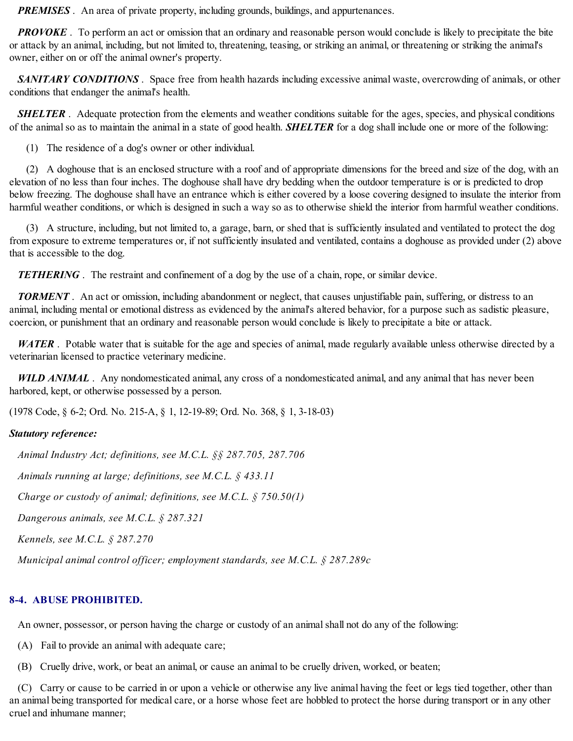*PREMISES*. An area of private property, including grounds, buildings, and appurtenances.

*PROVOKE*. To perform an act or omission that an ordinary and reasonable person would conclude is likely to precipitate the bite or attack by an animal, including, but not limited to, threatening, teasing, or striking an animal, or threatening or striking the animal's owner, either on or off the animal owner's property.

*SANITARY CONDITIONS* . Space free from health hazards including excessive animal waste, overcrowding of animals, or other conditions that endanger the animal's health.

*SHELTER*. Adequate protection from the elements and weather conditions suitable for the ages, species, and physical conditions of the animal so as to maintain the animal in a state of good health. **SHELTER** for a dog shall include one or more of the following:

(1) The residence of a dog's owner or other individual.

(2) A doghouse that is an enclosed structure with a roof and of appropriate dimensions for the breed and size of the dog, with an elevation of no less than four inches. The doghouse shall have dry bedding when the outdoor temperature is or is predicted to drop below freezing. The doghouse shall have an entrance which is either covered by a loose covering designed to insulate the interior from harmful weather conditions, or which is designed in such a way so as to otherwise shield the interior from harmful weather conditions.

(3) A structure, including, but not limited to, a garage, barn, or shed that is sufficiently insulated and ventilated to protect the dog from exposure to extreme temperatures or, if not sufficiently insulated and ventilated, contains a doghouse as provided under (2) above that is accessible to the dog.

*TETHERING*. The restraint and confinement of a dog by the use of a chain, rope, or similar device.

*TORMENT* . An act or omission, including abandonment or neglect, that causes unjustifiable pain, suffering, or distress to an animal, including mental or emotional distress as evidenced by the animal's altered behavior, for a purpose such as sadistic pleasure, coercion, or punishment that an ordinary and reasonable person would conclude is likely to precipitate a bite or attack.

*WATER* . Potable water that is suitable for the age and species of animal, made regularly available unless otherwise directed by a veterinarian licensed to practice veterinary medicine.

*WILD ANIMAL* . Any nondomesticated animal, any cross of a nondomesticated animal, and any animal that has never been harbored, kept, or otherwise possessed by a person.

(1978 Code, § 6-2; Ord. No. 215-A, § 1, 12-19-89; Ord. No. 368, § 1, 3-18-03)

# *Statutory reference:*

*Animal Industry Act; definitions, see M.C.L. §§ 287.705, 287.706*

*Animals running at large; definitions, see M.C.L. § 433.11*

*Charge or custody of animal; definitions, see M.C.L. § 750.50(1)*

*Dangerous animals, see M.C.L. § 287.321*

*Kennels, see M.C.L. § 287.270*

*Municipal animal control officer; employment standards, see M.C.L. § 287.289c*

# **8-4. ABUSE PROHIBITED.**

An owner, possessor, or person having the charge or custody of an animal shall not do any of the following:

(A) Fail to provide an animal with adequate care;

(B) Cruelly drive, work, or beat an animal, or cause an animal to be cruelly driven, worked, or beaten;

(C) Carry or cause to be carried in or upon a vehicle or otherwise any live animal having the feet or legs tied together, other than an animal being transported for medical care, or a horse whose feet are hobbled to protect the horse during transport or in any other cruel and inhumane manner;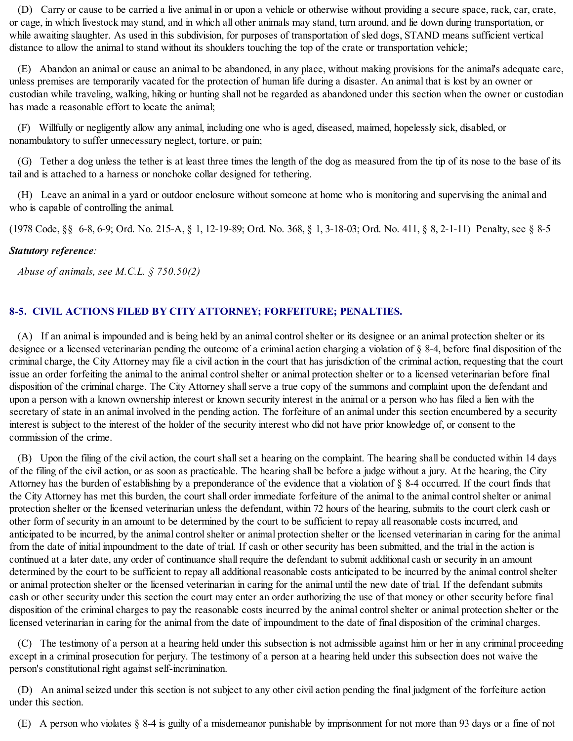(D) Carry or cause to be carried a live animal in or upon a vehicle or otherwise without providing a secure space, rack, car, crate, or cage, in which livestock may stand, and in which all other animals may stand, turn around, and lie down during transportation, or while awaiting slaughter. As used in this subdivision, for purposes of transportation of sled dogs, STAND means sufficient vertical distance to allow the animal to stand without its shoulders touching the top of the crate or transportation vehicle;

(E) Abandon an animal or cause an animal to be abandoned, in any place, without making provisions for the animal's adequate care, unless premises are temporarily vacated for the protection of human life during a disaster. An animal that is lost by an owner or custodian while traveling, walking, hiking or hunting shall not be regarded as abandoned under this section when the owner or custodian has made a reasonable effort to locate the animal;

(F) Willfully or negligently allow any animal, including one who is aged, diseased, maimed, hopelessly sick, disabled, or nonambulatory to suffer unnecessary neglect, torture, or pain;

(G) Tether a dog unless the tether is at least three times the length of the dog as measured from the tip of its nose to the base of its tail and is attached to a harness or nonchoke collar designed for tethering.

(H) Leave an animal in a yard or outdoor enclosure without someone at home who is monitoring and supervising the animal and who is capable of controlling the animal.

(1978 Code, §§ 6-8, 6-9; Ord. No. 215-A, § 1, 12-19-89; Ord. No. 368, § 1, 3-18-03; Ord. No. 411, § 8, 2-1-11) Penalty, see § 8-5

# *Statutory reference:*

*Abuse of animals, see M.C.L. § 750.50(2)*

# **8-5. CIVIL ACTIONS FILED BY CITY ATTORNEY; FORFEITURE; PENALTIES.**

(A) If an animal is impounded and is being held by an animal controlshelter or its designee or an animal protection shelter or its designee or a licensed veterinarian pending the outcome of a criminal action charging a violation of § 8-4, before final disposition of the criminal charge, the City Attorney may file a civil action in the court that has jurisdiction of the criminal action, requesting that the court issue an order forfeiting the animal to the animal controlshelter or animal protection shelter or to a licensed veterinarian before final disposition of the criminal charge. The City Attorney shallserve a true copy of the summons and complaint upon the defendant and upon a person with a known ownership interest or known security interest in the animal or a person who has filed a lien with the secretary of state in an animal involved in the pending action. The forfeiture of an animal under this section encumbered by a security interest is subject to the interest of the holder of the security interest who did not have prior knowledge of, or consent to the commission of the crime.

(B) Upon the filing of the civil action, the court shallset a hearing on the complaint. The hearing shall be conducted within 14 days of the filing of the civil action, or as soon as practicable. The hearing shall be before a judge without a jury. At the hearing, the City Attorney has the burden of establishing by a preponderance of the evidence that a violation of § 8-4 occurred. If the court finds that the City Attorney has met this burden, the court shall order immediate forfeiture of the animal to the animal controlshelter or animal protection shelter or the licensed veterinarian unless the defendant, within 72 hours of the hearing, submits to the court clerk cash or other form of security in an amount to be determined by the court to be sufficient to repay all reasonable costs incurred, and anticipated to be incurred, by the animal control shelter or animal protection shelter or the licensed veterinarian in caring for the animal from the date of initial impoundment to the date of trial. If cash or other security has been submitted, and the trial in the action is continued at a later date, any order of continuance shall require the defendant to submit additional cash or security in an amount determined by the court to be sufficient to repay all additional reasonable costs anticipated to be incurred by the animal control shelter or animal protection shelter or the licensed veterinarian in caring for the animal until the new date of trial. If the defendant submits cash or other security under this section the court may enter an order authorizing the use of that money or other security before final disposition of the criminal charges to pay the reasonable costs incurred by the animal controlshelter or animal protection shelter or the licensed veterinarian in caring for the animal from the date of impoundment to the date of final disposition of the criminal charges.

(C) The testimony of a person at a hearing held under this subsection is not admissible against him or her in any criminal proceeding except in a criminal prosecution for perjury. The testimony of a person at a hearing held under this subsection does not waive the person's constitutional right against self-incrimination.

(D) An animalseized under this section is not subject to any other civil action pending the final judgment of the forfeiture action under this section.

(E) A person who violates § 8-4 is guilty of a misdemeanor punishable by imprisonment for not more than 93 days or a fine of not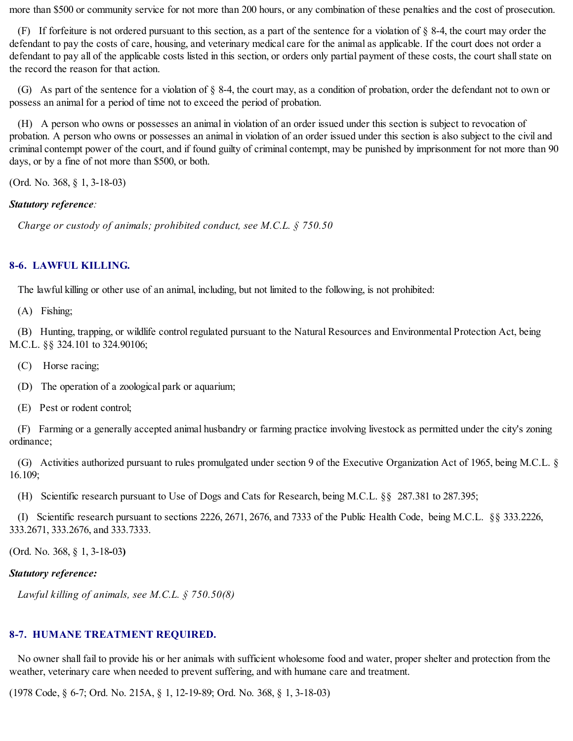more than \$500 or community service for not more than 200 hours, or any combination of these penalties and the cost of prosecution.

(F) If forfeiture is not ordered pursuant to this section, as a part of the sentence for a violation of § 8-4, the court may order the defendant to pay the costs of care, housing, and veterinary medical care for the animal as applicable. If the court does not order a defendant to pay all of the applicable costs listed in this section, or orders only partial payment of these costs, the court shall state on the record the reason for that action.

(G) As part of the sentence for a violation of § 8-4, the court may, as a condition of probation, order the defendant not to own or possess an animal for a period of time not to exceed the period of probation.

(H) A person who owns or possesses an animal in violation of an order issued under this section is subject to revocation of probation. A person who owns or possesses an animal in violation of an order issued under this section is also subject to the civil and criminal contempt power of the court, and if found guilty of criminal contempt, may be punished by imprisonment for not more than 90 days, or by a fine of not more than \$500, or both.

(Ord. No. 368, § 1, 3-18-03)

## *Statutory reference:*

*Charge or custody of animals; prohibited conduct, see M.C.L. § 750.50*

# **8-6. LAWFUL KILLING.**

The lawful killing or other use of an animal, including, but not limited to the following, is not prohibited:

(A) Fishing;

(B) Hunting, trapping, or wildlife control regulated pursuant to the Natural Resources and Environmental Protection Act, being M.C.L. §§ 324.101 to 324.90106;

(C) Horse racing;

(D) The operation of a zoological park or aquarium;

(E) Pest or rodent control;

(F) Farming or a generally accepted animal husbandry or farming practice involving livestock as permitted under the city's zoning ordinance;

(G) Activities authorized pursuant to rules promulgated under section 9 of the Executive Organization Act of 1965, being M.C.L. § 16.109;

(H) Scientific research pursuant to Use of Dogs and Cats for Research, being M.C.L. §§ 287.381 to 287.395;

(I) Scientific research pursuant to sections 2226, 2671, 2676, and 7333 of the Public Health Code, being M.C.L. §§ 333.2226, 333.2671, 333.2676, and 333.7333.

(Ord. No. 368, § 1, 3-18**-**03**)**

# *Statutory reference:*

*Lawful killing of animals, see M.C.L. § 750.50(8)*

# **8-7. HUMANE TREATMENT REQUIRED.**

No owner shall fail to provide his or her animals with sufficient wholesome food and water, proper shelter and protection from the weather, veterinary care when needed to prevent suffering, and with humane care and treatment.

(1978 Code, § 6-7; Ord. No. 215A, § 1, 12-19-89; Ord. No. 368, § 1, 3-18-03)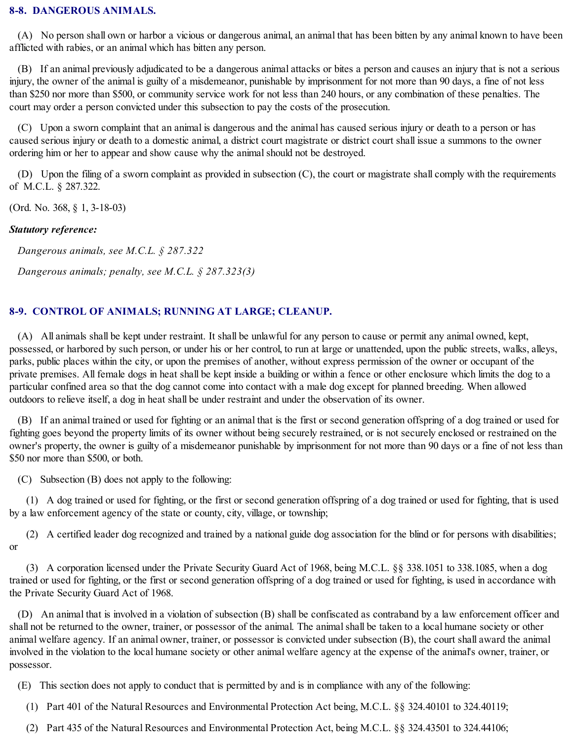# **8-8. DANGEROUS ANIMALS.**

(A) No person shall own or harbor a vicious or dangerous animal, an animal that has been bitten by any animal known to have been afflicted with rabies, or an animal which has bitten any person.

(B) If an animal previously adjudicated to be a dangerous animal attacks or bites a person and causes an injury that is not a serious injury, the owner of the animal is guilty of a misdemeanor, punishable by imprisonment for not more than 90 days, a fine of not less than \$250 nor more than \$500, or community service work for not less than 240 hours, or any combination of these penalties. The court may order a person convicted under this subsection to pay the costs of the prosecution.

(C) Upon a sworn complaint that an animal is dangerous and the animal has caused serious injury or death to a person or has caused serious injury or death to a domestic animal, a district court magistrate or district court shall issue a summons to the owner ordering him or her to appear and show cause why the animalshould not be destroyed.

(D) Upon the filing of a sworn complaint as provided in subsection (C), the court or magistrate shall comply with the requirements of M.C.L. § 287.322.

(Ord. No. 368, § 1, 3-18-03)

#### *Statutory reference:*

*Dangerous animals, see M.C.L. § 287.322*

*Dangerous animals; penalty, see M.C.L. § 287.323(3)*

# **8-9. CONTROL OF ANIMALS; RUNNING AT LARGE; CLEANUP.**

(A) All animals shall be kept under restraint. It shall be unlawful for any person to cause or permit any animal owned, kept, possessed, or harbored by such person, or under his or her control, to run at large or unattended, upon the public streets, walks, alleys, parks, public places within the city, or upon the premises of another, without express permission of the owner or occupant of the private premises. All female dogs in heat shall be kept inside a building or within a fence or other enclosure which limits the dog to a particular confined area so that the dog cannot come into contact with a male dog except for planned breeding. When allowed outdoors to relieve itself, a dog in heat shall be under restraint and under the observation of its owner.

(B) If an animal trained or used for fighting or an animal that is the first or second generation offspring of a dog trained or used for fighting goes beyond the property limits of its owner without being securely restrained, or is not securely enclosed or restrained on the owner's property, the owner is guilty of a misdemeanor punishable by imprisonment for not more than 90 days or a fine of not less than \$50 nor more than \$500, or both.

(C) Subsection (B) does not apply to the following:

(1) A dog trained or used for fighting, or the first or second generation offspring of a dog trained or used for fighting, that is used by a law enforcement agency of the state or county, city, village, or township;

(2) A certified leader dog recognized and trained by a national guide dog association for the blind or for persons with disabilities; or

(3) A corporation licensed under the Private Security Guard Act of 1968, being M.C.L. §§ 338.1051 to 338.1085, when a dog trained or used for fighting, or the first or second generation offspring of a dog trained or used for fighting, is used in accordance with the Private Security Guard Act of 1968.

(D) An animal that is involved in a violation of subsection (B) shall be confiscated as contraband by a law enforcement officer and shall not be returned to the owner, trainer, or possessor of the animal. The animal shall be taken to a local humane society or other animal welfare agency. If an animal owner, trainer, or possessor is convicted under subsection (B), the court shall award the animal involved in the violation to the local humane society or other animal welfare agency at the expense of the animal's owner, trainer, or possessor.

(E) This section does not apply to conduct that is permitted by and is in compliance with any of the following:

(1) Part 401 of the Natural Resources and Environmental Protection Act being, M.C.L. §§ 324.40101 to 324.40119;

(2) Part 435 of the Natural Resources and Environmental Protection Act, being M.C.L. §§ 324.43501 to 324.44106;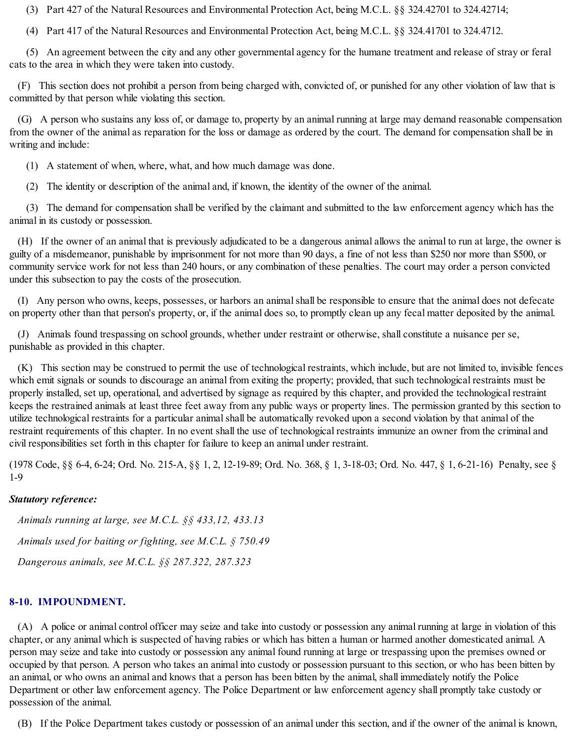(3) Part 427 of the Natural Resources and Environmental Protection Act, being M.C.L. §§ 324.42701 to 324.42714;

(4) Part 417 of the Natural Resources and Environmental Protection Act, being M.C.L. §§ 324.41701 to 324.4712.

(5) An agreement between the city and any other governmental agency for the humane treatment and release of stray or feral cats to the area in which they were taken into custody.

(F) This section does not prohibit a person from being charged with, convicted of, or punished for any other violation of law that is committed by that person while violating this section.

(G) A person who sustains any loss of, or damage to, property by an animal running at large may demand reasonable compensation from the owner of the animal as reparation for the loss or damage as ordered by the court. The demand for compensation shall be in writing and include:

(1) A statement of when, where, what, and how much damage was done.

(2) The identity or description of the animal and, if known, the identity of the owner of the animal.

(3) The demand for compensation shall be verified by the claimant and submitted to the law enforcement agency which has the animal in its custody or possession.

(H) If the owner of an animal that is previously adjudicated to be a dangerous animal allows the animal to run at large, the owner is guilty of a misdemeanor, punishable by imprisonment for not more than 90 days, a fine of not less than \$250 nor more than \$500, or community service work for not less than 240 hours, or any combination of these penalties. The court may order a person convicted under this subsection to pay the costs of the prosecution.

(I) Any person who owns, keeps, possesses, or harbors an animalshall be responsible to ensure that the animal does not defecate on property other than that person's property, or, if the animal does so, to promptly clean up any fecal matter deposited by the animal.

(J) Animals found trespassing on school grounds, whether under restraint or otherwise, shall constitute a nuisance per se, punishable as provided in this chapter.

(K) This section may be construed to permit the use of technological restraints, which include, but are not limited to, invisible fences which emit signals or sounds to discourage an animal from exiting the property; provided, that such technological restraints must be properly installed, set up, operational, and advertised by signage as required by this chapter, and provided the technological restraint keeps the restrained animals at least three feet away from any public ways or property lines. The permission granted by this section to utilize technological restraints for a particular animal shall be automatically revoked upon a second violation by that animal of the restraint requirements of this chapter. In no event shall the use of technological restraints immunize an owner from the criminal and civil responsibilities set forth in this chapter for failure to keep an animal under restraint.

(1978 Code, §§ 6-4, 6-24; Ord. No. 215-A, §§ 1, 2, 12-19-89; Ord. No. 368, § 1, 3-18-03; Ord. No. 447, § 1, 6-21-16) Penalty, see § 1-9

# *Statutory reference:*

*Animals running at large, see M.C.L. §§ 433,12, 433.13 Animals used for baiting or fighting, see M.C.L. § 750.49 Dangerous animals, see M.C.L. §§ 287.322, 287.323*

# **8-10. IMPOUNDMENT.**

(A) A police or animal control officer may seize and take into custody or possession any animal running at large in violation of this chapter, or any animal which is suspected of having rabies or which has bitten a human or harmed another domesticated animal. A person may seize and take into custody or possession any animal found running at large or trespassing upon the premises owned or occupied by that person. A person who takes an animal into custody or possession pursuant to this section, or who has been bitten by an animal, or who owns an animal and knows that a person has been bitten by the animal, shall immediately notify the Police Department or other law enforcement agency. The Police Department or law enforcement agency shall promptly take custody or possession of the animal.

(B) If the Police Department takes custody or possession of an animal under this section, and if the owner of the animal is known,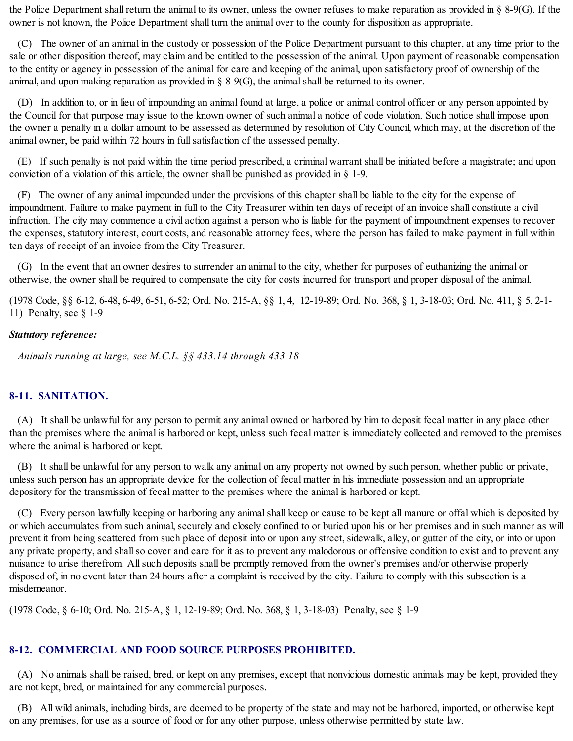the Police Department shall return the animal to its owner, unless the owner refuses to make reparation as provided in § 8-9(G). If the owner is not known, the Police Department shall turn the animal over to the county for disposition as appropriate.

(C) The owner of an animal in the custody or possession of the Police Department pursuant to this chapter, at any time prior to the sale or other disposition thereof, may claim and be entitled to the possession of the animal. Upon payment of reasonable compensation to the entity or agency in possession of the animal for care and keeping of the animal, upon satisfactory proof of ownership of the animal, and upon making reparation as provided in  $\S$  8-9(G), the animal shall be returned to its owner.

(D) In addition to, or in lieu of impounding an animal found at large, a police or animal control officer or any person appointed by the Council for that purpose may issue to the known owner of such animal a notice of code violation. Such notice shall impose upon the owner a penalty in a dollar amount to be assessed as determined by resolution of City Council, which may, at the discretion of the animal owner, be paid within 72 hours in fullsatisfaction of the assessed penalty.

(E) If such penalty is not paid within the time period prescribed, a criminal warrant shall be initiated before a magistrate; and upon conviction of a violation of this article, the owner shall be punished as provided in § 1-9.

(F) The owner of any animal impounded under the provisions of this chapter shall be liable to the city for the expense of impoundment. Failure to make payment in full to the City Treasurer within ten days of receipt of an invoice shall constitute a civil infraction. The city may commence a civil action against a person who is liable for the payment of impoundment expenses to recover the expenses, statutory interest, court costs, and reasonable attorney fees, where the person has failed to make payment in full within ten days of receipt of an invoice from the City Treasurer.

(G) In the event that an owner desires to surrender an animal to the city, whether for purposes of euthanizing the animal or otherwise, the owner shall be required to compensate the city for costs incurred for transport and proper disposal of the animal.

(1978 Code, §§ 6-12, 6-48, 6-49, 6-51, 6-52; Ord. No. 215-A, §§ 1, 4, 12-19-89; Ord. No. 368, § 1, 3-18-03; Ord. No. 411, § 5, 2-1- 11) Penalty, see § 1-9

# *Statutory reference:*

*Animals running at large, see M.C.L. §§ 433.14 through 433.18*

# **8-11. SANITATION.**

(A) It shall be unlawful for any person to permit any animal owned or harbored by him to deposit fecal matter in any place other than the premises where the animal is harbored or kept, unless such fecal matter is immediately collected and removed to the premises where the animal is harbored or kept.

(B) It shall be unlawful for any person to walk any animal on any property not owned by such person, whether public or private, unless such person has an appropriate device for the collection of fecal matter in his immediate possession and an appropriate depository for the transmission of fecal matter to the premises where the animal is harbored or kept.

(C) Every person lawfully keeping or harboring any animalshall keep or cause to be kept all manure or offal which is deposited by or which accumulates from such animal, securely and closely confined to or buried upon his or her premises and in such manner as will prevent it from being scattered from such place of deposit into or upon any street, sidewalk, alley, or gutter of the city, or into or upon any private property, and shall so cover and care for it as to prevent any malodorous or offensive condition to exist and to prevent any nuisance to arise therefrom. Allsuch deposits shall be promptly removed from the owner's premises and/or otherwise properly disposed of, in no event later than 24 hours after a complaint is received by the city. Failure to comply with this subsection is a misdemeanor.

(1978 Code, § 6-10; Ord. No. 215-A, § 1, 12-19-89; Ord. No. 368, § 1, 3-18-03) Penalty, see § 1-9

# **8-12. COMMERCIAL AND FOOD SOURCE PURPOSES PROHIBITED.**

(A) No animals shall be raised, bred, or kept on any premises, except that nonvicious domestic animals may be kept, provided they are not kept, bred, or maintained for any commercial purposes.

(B) All wild animals, including birds, are deemed to be property of the state and may not be harbored, imported, or otherwise kept on any premises, for use as a source of food or for any other purpose, unless otherwise permitted by state law.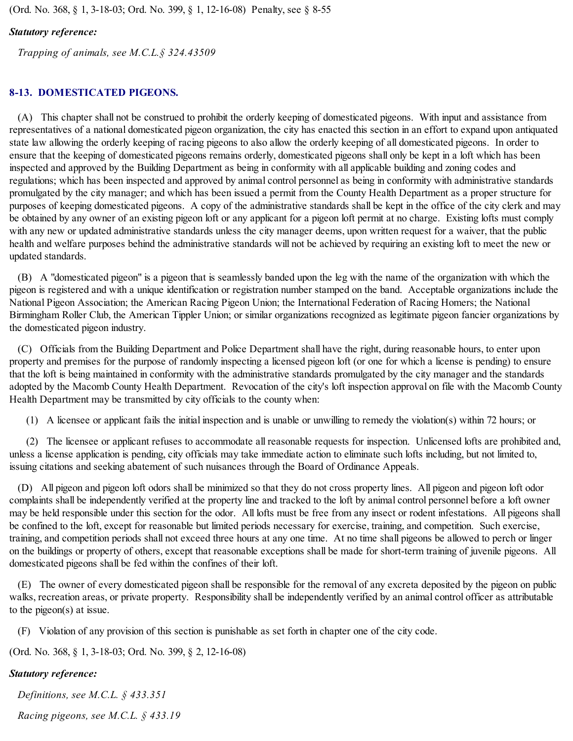(Ord. No. 368, § 1, 3-18-03; Ord. No. 399, § 1, 12-16-08) Penalty, see § 8-55

## *Statutory reference:*

*Trapping of animals, see M.C.L.§ 324.43509*

# **8-13. DOMESTICATED PIGEONS.**

(A) This chapter shall not be construed to prohibit the orderly keeping of domesticated pigeons. With input and assistance from representatives of a national domesticated pigeon organization, the city has enacted this section in an effort to expand upon antiquated state law allowing the orderly keeping of racing pigeons to also allow the orderly keeping of all domesticated pigeons. In order to ensure that the keeping of domesticated pigeons remains orderly, domesticated pigeons shall only be kept in a loft which has been inspected and approved by the Building Department as being in conformity with all applicable building and zoning codes and regulations; which has been inspected and approved by animal control personnel as being in conformity with administrative standards promulgated by the city manager; and which has been issued a permit from the County Health Department as a proper structure for purposes of keeping domesticated pigeons. A copy of the administrative standards shall be kept in the office of the city clerk and may be obtained by any owner of an existing pigeon loft or any applicant for a pigeon loft permit at no charge. Existing lofts must comply with any new or updated administrative standards unless the city manager deems, upon written request for a waiver, that the public health and welfare purposes behind the administrative standards will not be achieved by requiring an existing loft to meet the new or updated standards.

(B) A "domesticated pigeon" is a pigeon that is seamlessly banded upon the leg with the name of the organization with which the pigeon is registered and with a unique identification or registration number stamped on the band. Acceptable organizations include the National Pigeon Association; the American Racing Pigeon Union; the International Federation of Racing Homers; the National Birmingham Roller Club, the American Tippler Union; or similar organizations recognized as legitimate pigeon fancier organizations by the domesticated pigeon industry.

(C) Officials from the Building Department and Police Department shall have the right, during reasonable hours, to enter upon property and premises for the purpose of randomly inspecting a licensed pigeon loft (or one for which a license is pending) to ensure that the loft is being maintained in conformity with the administrative standards promulgated by the city manager and the standards adopted by the Macomb County Health Department. Revocation of the city's loft inspection approval on file with the Macomb County Health Department may be transmitted by city officials to the county when:

(1) A licensee or applicant fails the initial inspection and is unable or unwilling to remedy the violation(s) within 72 hours; or

(2) The licensee or applicant refuses to accommodate all reasonable requests for inspection. Unlicensed lofts are prohibited and, unless a license application is pending, city officials may take immediate action to eliminate such lofts including, but not limited to, issuing citations and seeking abatement of such nuisances through the Board of Ordinance Appeals.

(D) All pigeon and pigeon loft odors shall be minimized so that they do not cross property lines. All pigeon and pigeon loft odor complaints shall be independently verified at the property line and tracked to the loft by animal control personnel before a loft owner may be held responsible under this section for the odor. All lofts must be free from any insect or rodent infestations. All pigeons shall be confined to the loft, except for reasonable but limited periods necessary for exercise, training, and competition. Such exercise, training, and competition periods shall not exceed three hours at any one time. At no time shall pigeons be allowed to perch or linger on the buildings or property of others, except that reasonable exceptions shall be made for short-term training of juvenile pigeons. All domesticated pigeons shall be fed within the confines of their loft.

(E) The owner of every domesticated pigeon shall be responsible for the removal of any excreta deposited by the pigeon on public walks, recreation areas, or private property. Responsibility shall be independently verified by an animal control officer as attributable to the pigeon(s) at issue.

(F) Violation of any provision of this section is punishable as set forth in chapter one of the city code.

(Ord. No. 368, § 1, 3-18-03; Ord. No. 399, § 2, 12-16-08)

## *Statutory reference:*

*Definitions, see M.C.L. § 433.351 Racing pigeons, see M.C.L. § 433.19*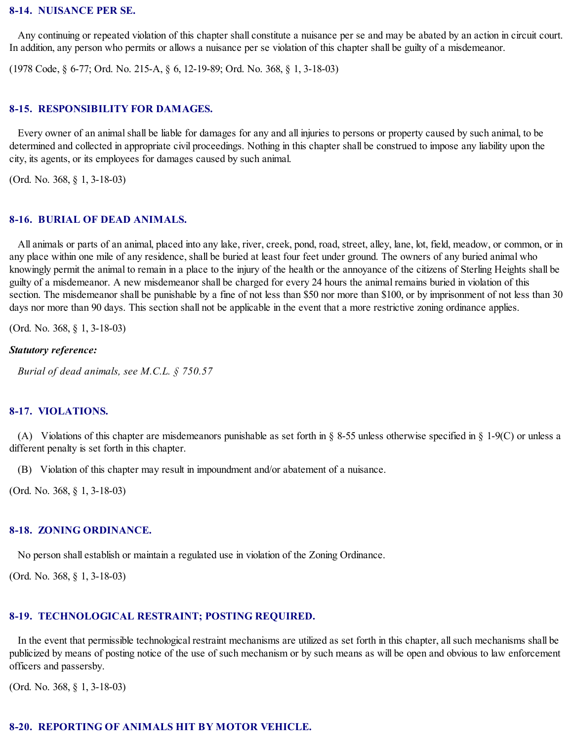#### **8-14. NUISANCE PER SE.**

Any continuing or repeated violation of this chapter shall constitute a nuisance per se and may be abated by an action in circuit court. In addition, any person who permits or allows a nuisance per se violation of this chapter shall be guilty of a misdemeanor.

(1978 Code, § 6-77; Ord. No. 215-A, § 6, 12-19-89; Ord. No. 368, § 1, 3-18-03)

#### **8-15. RESPONSIBILITY FOR DAMAGES.**

Every owner of an animal shall be liable for damages for any and all injuries to persons or property caused by such animal, to be determined and collected in appropriate civil proceedings. Nothing in this chapter shall be construed to impose any liability upon the city, its agents, or its employees for damages caused by such animal.

(Ord. No. 368, § 1, 3-18-03)

#### **8-16. BURIAL OF DEAD ANIMALS.**

All animals or parts of an animal, placed into any lake, river, creek, pond, road, street, alley, lane, lot, field, meadow, or common, or in any place within one mile of any residence, shall be buried at least four feet under ground. The owners of any buried animal who knowingly permit the animal to remain in a place to the injury of the health or the annoyance of the citizens of Sterling Heights shall be guilty of a misdemeanor. A new misdemeanor shall be charged for every 24 hours the animal remains buried in violation of this section. The misdemeanor shall be punishable by a fine of not less than \$50 nor more than \$100, or by imprisonment of not less than 30 days nor more than 90 days. This section shall not be applicable in the event that a more restrictive zoning ordinance applies.

(Ord. No. 368, § 1, 3-18-03)

#### *Statutory reference:*

*Burial of dead animals, see M.C.L. § 750.57*

#### **8-17. VIOLATIONS.**

(A) Violations of this chapter are misdemeanors punishable as set forth in § 8-55 unless otherwise specified in § 1-9(C) or unless a different penalty is set forth in this chapter.

(B) Violation of this chapter may result in impoundment and/or abatement of a nuisance.

(Ord. No. 368, § 1, 3-18-03)

#### **8-18. ZONING ORDINANCE.**

No person shall establish or maintain a regulated use in violation of the Zoning Ordinance.

(Ord. No. 368, § 1, 3-18-03)

#### **8-19. TECHNOLOGICAL RESTRAINT; POSTING REQUIRED.**

In the event that permissible technological restraint mechanisms are utilized as set forth in this chapter, allsuch mechanisms shall be publicized by means of posting notice of the use of such mechanism or by such means as will be open and obvious to law enforcement officers and passersby.

(Ord. No. 368, § 1, 3-18-03)

#### **8-20. REPORTING OF ANIMALS HIT BY MOTOR VEHICLE.**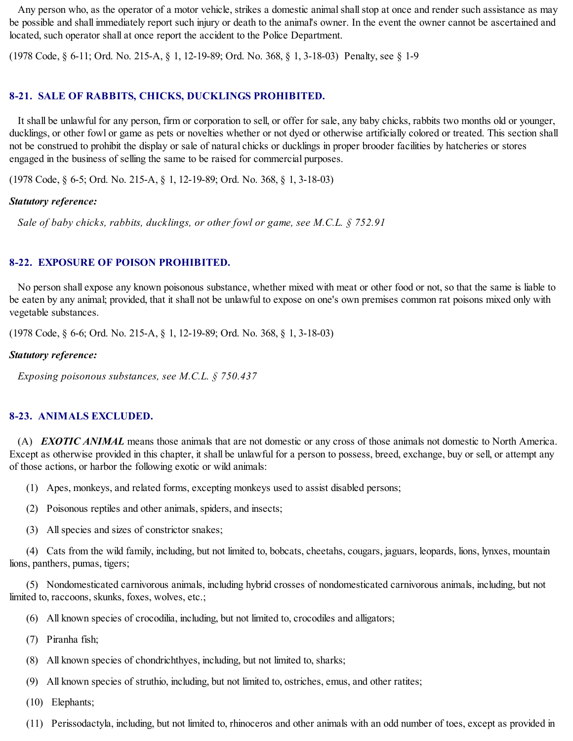Any person who, as the operator of a motor vehicle, strikes a domestic animal shall stop at once and render such assistance as may be possible and shall immediately report such injury or death to the animal's owner. In the event the owner cannot be ascertained and located, such operator shall at once report the accident to the Police Department.

(1978 Code, § 6-11; Ord. No. 215-A, § 1, 12-19-89; Ord. No. 368, § 1, 3-18-03) Penalty, see § 1-9

#### **8-21. SALE OF RABBITS, CHICKS, DUCKLINGS PROHIBITED.**

It shall be unlawful for any person, firm or corporation to sell, or offer for sale, any baby chicks, rabbits two months old or younger, ducklings, or other fowl or game as pets or novelties whether or not dyed or otherwise artificially colored or treated. This section shall not be construed to prohibit the display or sale of natural chicks or ducklings in proper brooder facilities by hatcheries or stores engaged in the business of selling the same to be raised for commercial purposes.

(1978 Code, § 6-5; Ord. No. 215-A, § 1, 12-19-89; Ord. No. 368, § 1, 3-18-03)

#### *Statutory reference:*

*Sale of baby chicks, rabbits, ducklings, or other fowl or game, see M.C.L. § 752.91*

# **8-22. EXPOSURE OF POISON PROHIBITED.**

No person shall expose any known poisonous substance, whether mixed with meat or other food or not, so that the same is liable to be eaten by any animal; provided, that it shall not be unlawful to expose on one's own premises common rat poisons mixed only with vegetable substances.

(1978 Code, § 6-6; Ord. No. 215-A, § 1, 12-19-89; Ord. No. 368, § 1, 3-18-03)

#### *Statutory reference:*

*Exposing poisonous substances, see M.C.L. § 750.437*

#### **8-23. ANIMALS EXCLUDED.**

(A) *EXOTIC ANIMAL* means those animals that are not domestic or any cross of those animals not domestic to North America. Except as otherwise provided in this chapter, it shall be unlawful for a person to possess, breed, exchange, buy or sell, or attempt any of those actions, or harbor the following exotic or wild animals:

(1) Apes, monkeys, and related forms, excepting monkeys used to assist disabled persons;

- (2) Poisonous reptiles and other animals, spiders, and insects;
- (3) Allspecies and sizes of constrictor snakes;

(4) Cats from the wild family, including, but not limited to, bobcats, cheetahs, cougars, jaguars, leopards, lions, lynxes, mountain lions, panthers, pumas, tigers;

(5) Nondomesticated carnivorous animals, including hybrid crosses of nondomesticated carnivorous animals, including, but not limited to, raccoons, skunks, foxes, wolves, etc.;

- (6) All known species of crocodilia, including, but not limited to, crocodiles and alligators;
- (7) Piranha fish;
- (8) All known species of chondrichthyes, including, but not limited to, sharks;
- (9) All known species of struthio, including, but not limited to, ostriches, emus, and other ratites;
- (10) Elephants;
- (11) Perissodactyla, including, but not limited to, rhinoceros and other animals with an odd number of toes, except as provided in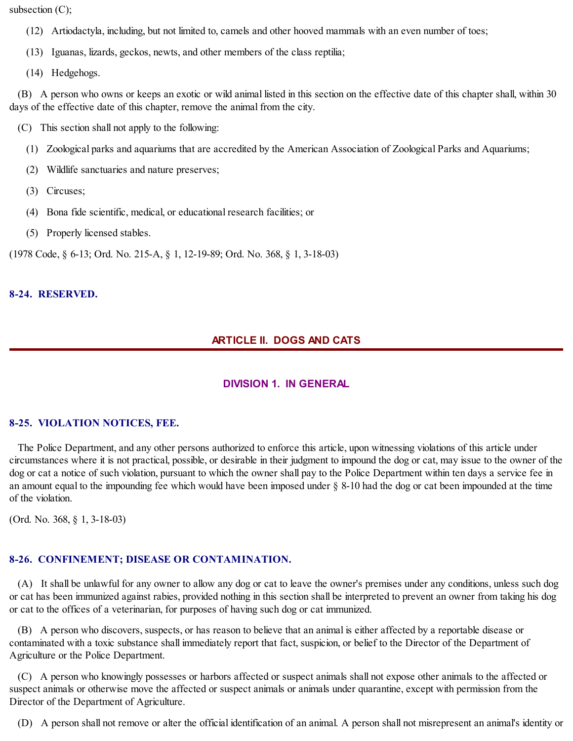subsection (C);

- (12) Artiodactyla, including, but not limited to, camels and other hooved mammals with an even number of toes;
- (13) Iguanas, lizards, geckos, newts, and other members of the class reptilia;
- (14) Hedgehogs.

(B) A person who owns or keeps an exotic or wild animal listed in this section on the effective date of this chapter shall, within 30 days of the effective date of this chapter, remove the animal from the city.

- (C) This section shall not apply to the following:
	- (1) Zoological parks and aquariums that are accredited by the American Association of Zoological Parks and Aquariums;
	- (2) Wildlife sanctuaries and nature preserves;
	- (3) Circuses;
	- (4) Bona fide scientific, medical, or educational research facilities; or
	- (5) Properly licensed stables.

(1978 Code, § 6-13; Ord. No. 215-A, § 1, 12-19-89; Ord. No. 368, § 1, 3-18-03)

## **8-24. RESERVED.**

# **ARTICLE II. DOGS AND CATS**

# **DIVISION 1. IN GENERAL**

## **8-25. VIOLATION NOTICES, FEE.**

The Police Department, and any other persons authorized to enforce this article, upon witnessing violations of this article under circumstances where it is not practical, possible, or desirable in their judgment to impound the dog or cat, may issue to the owner of the dog or cat a notice of such violation, pursuant to which the owner shall pay to the Police Department within ten days a service fee in an amount equal to the impounding fee which would have been imposed under § 8-10 had the dog or cat been impounded at the time of the violation.

(Ord. No. 368, § 1, 3-18-03)

# **8-26. CONFINEMENT; DISEASE OR CONTAMINATION.**

(A) It shall be unlawful for any owner to allow any dog or cat to leave the owner's premises under any conditions, unless such dog or cat has been immunized against rabies, provided nothing in this section shall be interpreted to prevent an owner from taking his dog or cat to the offices of a veterinarian, for purposes of having such dog or cat immunized.

(B) A person who discovers, suspects, or has reason to believe that an animal is either affected by a reportable disease or contaminated with a toxic substance shall immediately report that fact, suspicion, or belief to the Director of the Department of Agriculture or the Police Department.

(C) A person who knowingly possesses or harbors affected or suspect animals shall not expose other animals to the affected or suspect animals or otherwise move the affected or suspect animals or animals under quarantine, except with permission from the Director of the Department of Agriculture.

(D) A person shall not remove or alter the official identification of an animal. A person shall not misrepresent an animal's identity or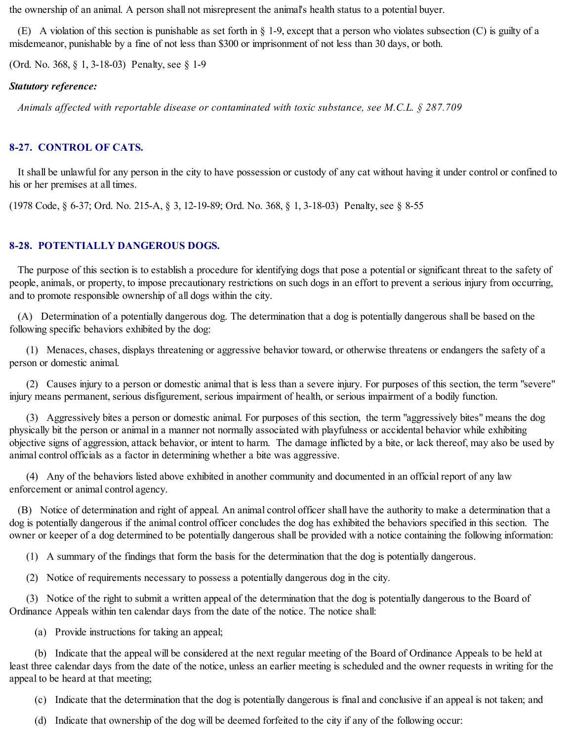the ownership of an animal. A person shall not misrepresent the animal's health status to a potential buyer.

(E) A violation of this section is punishable as set forth in § 1-9, except that a person who violates subsection (C) is guilty of a misdemeanor, punishable by a fine of not less than \$300 or imprisonment of not less than 30 days, or both.

(Ord. No. 368, § 1, 3-18-03) Penalty, see § 1-9

# *Statutory reference:*

*Animals affected with reportable disease or contaminated with toxic substance, see M.C.L. § 287.709*

# **8-27. CONTROL OF CATS.**

It shall be unlawful for any person in the city to have possession or custody of any cat without having it under control or confined to his or her premises at all times.

(1978 Code, § 6-37; Ord. No. 215-A, § 3, 12-19-89; Ord. No. 368, § 1, 3-18-03) Penalty, see § 8-55

# **8-28. POTENTIALLY DANGEROUS DOGS.**

The purpose of this section is to establish a procedure for identifying dogs that pose a potential or significant threat to the safety of people, animals, or property, to impose precautionary restrictions on such dogs in an effort to prevent a serious injury from occurring, and to promote responsible ownership of all dogs within the city.

(A) Determination of a potentially dangerous dog. The determination that a dog is potentially dangerous shall be based on the following specific behaviors exhibited by the dog:

(1) Menaces, chases, displays threatening or aggressive behavior toward, or otherwise threatens or endangers the safety of a person or domestic animal.

(2) Causes injury to a person or domestic animal that is less than a severe injury. For purposes of this section, the term "severe" injury means permanent, serious disfigurement, serious impairment of health, or serious impairment of a bodily function.

(3) Aggressively bites a person or domestic animal. For purposes of this section, the term "aggressively bites" means the dog physically bit the person or animal in a manner not normally associated with playfulness or accidental behavior while exhibiting objective signs of aggression, attack behavior, or intent to harm. The damage inflicted by a bite, or lack thereof, may also be used by animal control officials as a factor in determining whether a bite was aggressive.

(4) Any of the behaviors listed above exhibited in another community and documented in an official report of any law enforcement or animal control agency.

(B) Notice of determination and right of appeal. An animal control officer shall have the authority to make a determination that a dog is potentially dangerous if the animal control officer concludes the dog has exhibited the behaviors specified in this section. The owner or keeper of a dog determined to be potentially dangerous shall be provided with a notice containing the following information:

(1) A summary of the findings that form the basis for the determination that the dog is potentially dangerous.

(2) Notice of requirements necessary to possess a potentially dangerous dog in the city.

(3) Notice of the right to submit a written appeal of the determination that the dog is potentially dangerous to the Board of Ordinance Appeals within ten calendar days from the date of the notice. The notice shall:

(a) Provide instructions for taking an appeal;

(b) Indicate that the appeal will be considered at the next regular meeting of the Board of Ordinance Appeals to be held at least three calendar days from the date of the notice, unless an earlier meeting is scheduled and the owner requests in writing for the appeal to be heard at that meeting;

(c) Indicate that the determination that the dog is potentially dangerous is final and conclusive if an appeal is not taken; and

(d) Indicate that ownership of the dog will be deemed forfeited to the city if any of the following occur: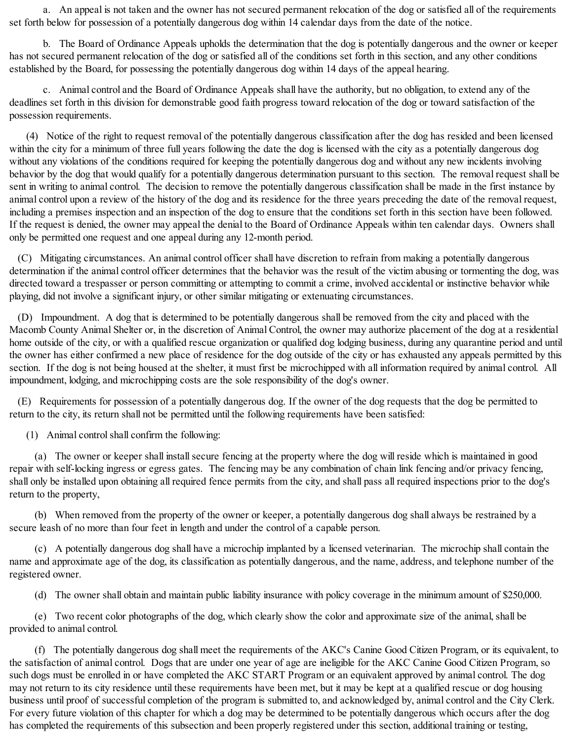a. An appeal is not taken and the owner has not secured permanent relocation of the dog or satisfied all of the requirements set forth below for possession of a potentially dangerous dog within 14 calendar days from the date of the notice.

b. The Board of Ordinance Appeals upholds the determination that the dog is potentially dangerous and the owner or keeper has not secured permanent relocation of the dog or satisfied all of the conditions set forth in this section, and any other conditions established by the Board, for possessing the potentially dangerous dog within 14 days of the appeal hearing.

c. Animal control and the Board of Ordinance Appeals shall have the authority, but no obligation, to extend any of the deadlines set forth in this division for demonstrable good faith progress toward relocation of the dog or toward satisfaction of the possession requirements.

(4) Notice of the right to request removal of the potentially dangerous classification after the dog has resided and been licensed within the city for a minimum of three full years following the date the dog is licensed with the city as a potentially dangerous dog without any violations of the conditions required for keeping the potentially dangerous dog and without any new incidents involving behavior by the dog that would qualify for a potentially dangerous determination pursuant to this section. The removal request shall be sent in writing to animal control. The decision to remove the potentially dangerous classification shall be made in the first instance by animal control upon a review of the history of the dog and its residence for the three years preceding the date of the removal request, including a premises inspection and an inspection of the dog to ensure that the conditions set forth in this section have been followed. If the request is denied, the owner may appeal the denial to the Board of Ordinance Appeals within ten calendar days. Owners shall only be permitted one request and one appeal during any 12-month period.

(C) Mitigating circumstances. An animal control officer shall have discretion to refrain from making a potentially dangerous determination if the animal control officer determines that the behavior was the result of the victim abusing or tormenting the dog, was directed toward a trespasser or person committing or attempting to commit a crime, involved accidental or instinctive behavior while playing, did not involve a significant injury, or other similar mitigating or extenuating circumstances.

(D) Impoundment. A dog that is determined to be potentially dangerous shall be removed from the city and placed with the Macomb County Animal Shelter or, in the discretion of Animal Control, the owner may authorize placement of the dog at a residential home outside of the city, or with a qualified rescue organization or qualified dog lodging business, during any quarantine period and until the owner has either confirmed a new place of residence for the dog outside of the city or has exhausted any appeals permitted by this section. If the dog is not being housed at the shelter, it must first be microchipped with all information required by animal control. All impoundment, lodging, and microchipping costs are the sole responsibility of the dog's owner.

(E) Requirements for possession of a potentially dangerous dog. If the owner of the dog requests that the dog be permitted to return to the city, its return shall not be permitted until the following requirements have been satisfied:

(1) Animal controlshall confirm the following:

(a) The owner or keeper shall install secure fencing at the property where the dog will reside which is maintained in good repair with self-locking ingress or egress gates. The fencing may be any combination of chain link fencing and/or privacy fencing, shall only be installed upon obtaining all required fence permits from the city, and shall pass all required inspections prior to the dog's return to the property,

(b) When removed from the property of the owner or keeper, a potentially dangerous dog shall always be restrained by a secure leash of no more than four feet in length and under the control of a capable person.

(c) A potentially dangerous dog shall have a microchip implanted by a licensed veterinarian. The microchip shall contain the name and approximate age of the dog, its classification as potentially dangerous, and the name, address, and telephone number of the registered owner.

(d) The owner shall obtain and maintain public liability insurance with policy coverage in the minimum amount of \$250,000.

(e) Two recent color photographs of the dog, which clearly show the color and approximate size of the animal, shall be provided to animal control.

(f) The potentially dangerous dog shall meet the requirements of the AKC's Canine Good Citizen Program, or its equivalent, to the satisfaction of animal control. Dogs that are under one year of age are ineligible for the AKC Canine Good Citizen Program, so such dogs must be enrolled in or have completed the AKC START Program or an equivalent approved by animal control. The dog may not return to its city residence until these requirements have been met, but it may be kept at a qualified rescue or dog housing business until proof of successful completion of the program is submitted to, and acknowledged by, animal control and the City Clerk. For every future violation of this chapter for which a dog may be determined to be potentially dangerous which occurs after the dog has completed the requirements of this subsection and been properly registered under this section, additional training or testing,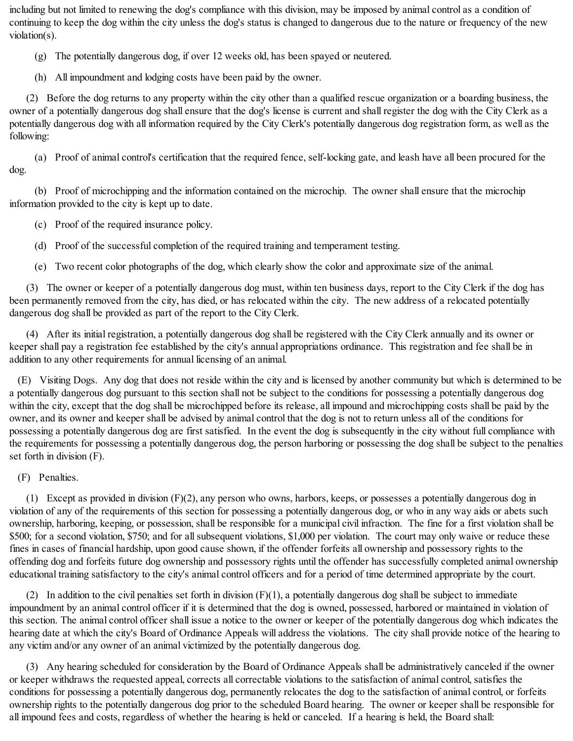including but not limited to renewing the dog's compliance with this division, may be imposed by animal control as a condition of continuing to keep the dog within the city unless the dog's status is changed to dangerous due to the nature or frequency of the new violation(s).

(g) The potentially dangerous dog, if over 12 weeks old, has been spayed or neutered.

(h) All impoundment and lodging costs have been paid by the owner.

(2) Before the dog returns to any property within the city other than a qualified rescue organization or a boarding business, the owner of a potentially dangerous dog shall ensure that the dog's license is current and shall register the dog with the City Clerk as a potentially dangerous dog with all information required by the City Clerk's potentially dangerous dog registration form, as well as the following:

(a) Proof of animal control's certification that the required fence, self-locking gate, and leash have all been procured for the dog.

(b) Proof of microchipping and the information contained on the microchip. The owner shall ensure that the microchip information provided to the city is kept up to date.

(c) Proof of the required insurance policy.

(d) Proof of the successful completion of the required training and temperament testing.

(e) Two recent color photographs of the dog, which clearly show the color and approximate size of the animal.

(3) The owner or keeper of a potentially dangerous dog must, within ten business days, report to the City Clerk if the dog has been permanently removed from the city, has died, or has relocated within the city. The new address of a relocated potentially dangerous dog shall be provided as part of the report to the City Clerk.

(4) After its initial registration, a potentially dangerous dog shall be registered with the City Clerk annually and its owner or keeper shall pay a registration fee established by the city's annual appropriations ordinance. This registration and fee shall be in addition to any other requirements for annual licensing of an animal.

(E) Visiting Dogs. Any dog that does not reside within the city and is licensed by another community but which is determined to be a potentially dangerous dog pursuant to this section shall not be subject to the conditions for possessing a potentially dangerous dog within the city, except that the dog shall be microchipped before its release, all impound and microchipping costs shall be paid by the owner, and its owner and keeper shall be advised by animal control that the dog is not to return unless all of the conditions for possessing a potentially dangerous dog are first satisfied. In the event the dog is subsequently in the city without full compliance with the requirements for possessing a potentially dangerous dog, the person harboring or possessing the dog shall be subject to the penalties set forth in division (F).

(F) Penalties.

(1) Except as provided in division (F)(2), any person who owns, harbors, keeps, or possesses a potentially dangerous dog in violation of any of the requirements of this section for possessing a potentially dangerous dog, or who in any way aids or abets such ownership, harboring, keeping, or possession, shall be responsible for a municipal civil infraction. The fine for a first violation shall be \$500; for a second violation, \$750; and for allsubsequent violations, \$1,000 per violation. The court may only waive or reduce these fines in cases of financial hardship, upon good cause shown, if the offender forfeits all ownership and possessory rights to the offending dog and forfeits future dog ownership and possessory rights until the offender has successfully completed animal ownership educational training satisfactory to the city's animal control officers and for a period of time determined appropriate by the court.

(2) In addition to the civil penalties set forth in division  $(F)(1)$ , a potentially dangerous dog shall be subject to immediate impoundment by an animal control officer if it is determined that the dog is owned, possessed, harbored or maintained in violation of this section. The animal control officer shall issue a notice to the owner or keeper of the potentially dangerous dog which indicates the hearing date at which the city's Board of Ordinance Appeals will address the violations. The city shall provide notice of the hearing to any victim and/or any owner of an animal victimized by the potentially dangerous dog.

(3) Any hearing scheduled for consideration by the Board of Ordinance Appeals shall be administratively canceled if the owner or keeper withdraws the requested appeal, corrects all correctable violations to the satisfaction of animal control, satisfies the conditions for possessing a potentially dangerous dog, permanently relocates the dog to the satisfaction of animal control, or forfeits ownership rights to the potentially dangerous dog prior to the scheduled Board hearing. The owner or keeper shall be responsible for all impound fees and costs, regardless of whether the hearing is held or canceled. If a hearing is held, the Board shall: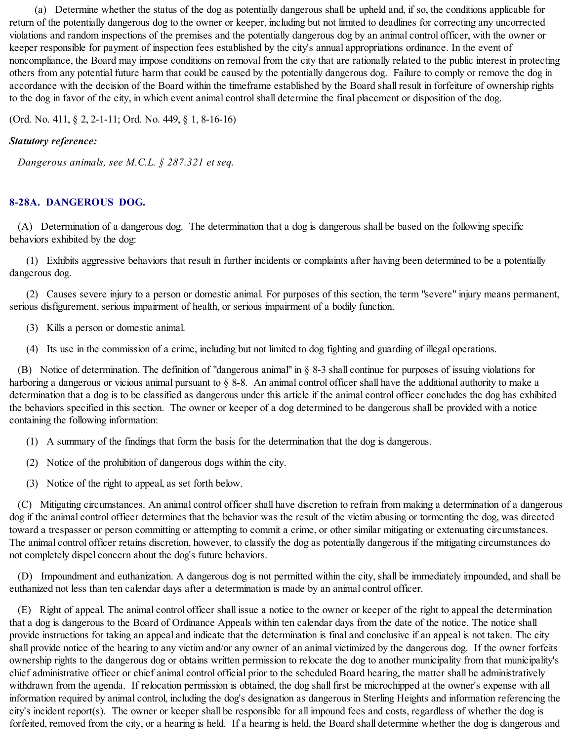(a) Determine whether the status of the dog as potentially dangerous shall be upheld and, if so, the conditions applicable for return of the potentially dangerous dog to the owner or keeper, including but not limited to deadlines for correcting any uncorrected violations and random inspections of the premises and the potentially dangerous dog by an animal control officer, with the owner or keeper responsible for payment of inspection fees established by the city's annual appropriations ordinance. In the event of noncompliance, the Board may impose conditions on removal from the city that are rationally related to the public interest in protecting others from any potential future harm that could be caused by the potentially dangerous dog. Failure to comply or remove the dog in accordance with the decision of the Board within the timeframe established by the Board shall result in forfeiture of ownership rights to the dog in favor of the city, in which event animal controlshall determine the final placement or disposition of the dog.

(Ord. No. 411, § 2, 2-1-11; Ord. No. 449, § 1, 8-16-16)

# *Statutory reference:*

*Dangerous animals, see M.C.L. § 287.321 et seq.*

## **8-28A. DANGEROUS DOG.**

(A) Determination of a dangerous dog. The determination that a dog is dangerous shall be based on the following specific behaviors exhibited by the dog:

(1) Exhibits aggressive behaviors that result in further incidents or complaints after having been determined to be a potentially dangerous dog.

(2) Causes severe injury to a person or domestic animal. For purposes of this section, the term "severe" injury means permanent, serious disfigurement, serious impairment of health, or serious impairment of a bodily function.

- (3) Kills a person or domestic animal.
- (4) Its use in the commission of a crime, including but not limited to dog fighting and guarding of illegal operations.

(B) Notice of determination. The definition of "dangerous animal" in § 8-3 shall continue for purposes of issuing violations for harboring a dangerous or vicious animal pursuant to § 8-8. An animal control officer shall have the additional authority to make a determination that a dog is to be classified as dangerous under this article if the animal control officer concludes the dog has exhibited the behaviors specified in this section. The owner or keeper of a dog determined to be dangerous shall be provided with a notice containing the following information:

- (1) A summary of the findings that form the basis for the determination that the dog is dangerous.
- (2) Notice of the prohibition of dangerous dogs within the city.
- (3) Notice of the right to appeal, as set forth below.

(C) Mitigating circumstances. An animal control officer shall have discretion to refrain from making a determination of a dangerous dog if the animal control officer determines that the behavior was the result of the victim abusing or tormenting the dog, was directed toward a trespasser or person committing or attempting to commit a crime, or other similar mitigating or extenuating circumstances. The animal control officer retains discretion, however, to classify the dog as potentially dangerous if the mitigating circumstances do not completely dispel concern about the dog's future behaviors.

(D) Impoundment and euthanization. A dangerous dog is not permitted within the city, shall be immediately impounded, and shall be euthanized not less than ten calendar days after a determination is made by an animal control officer.

(E) Right of appeal. The animal control officer shall issue a notice to the owner or keeper of the right to appeal the determination that a dog is dangerous to the Board of Ordinance Appeals within ten calendar days from the date of the notice. The notice shall provide instructions for taking an appeal and indicate that the determination is final and conclusive if an appeal is not taken. The city shall provide notice of the hearing to any victim and/or any owner of an animal victimized by the dangerous dog. If the owner forfeits ownership rights to the dangerous dog or obtains written permission to relocate the dog to another municipality from that municipality's chief administrative officer or chief animal control official prior to the scheduled Board hearing, the matter shall be administratively withdrawn from the agenda. If relocation permission is obtained, the dog shall first be microchipped at the owner's expense with all information required by animal control, including the dog's designation as dangerous in Sterling Heights and information referencing the city's incident report(s). The owner or keeper shall be responsible for all impound fees and costs, regardless of whether the dog is forfeited, removed from the city, or a hearing is held. If a hearing is held, the Board shall determine whether the dog is dangerous and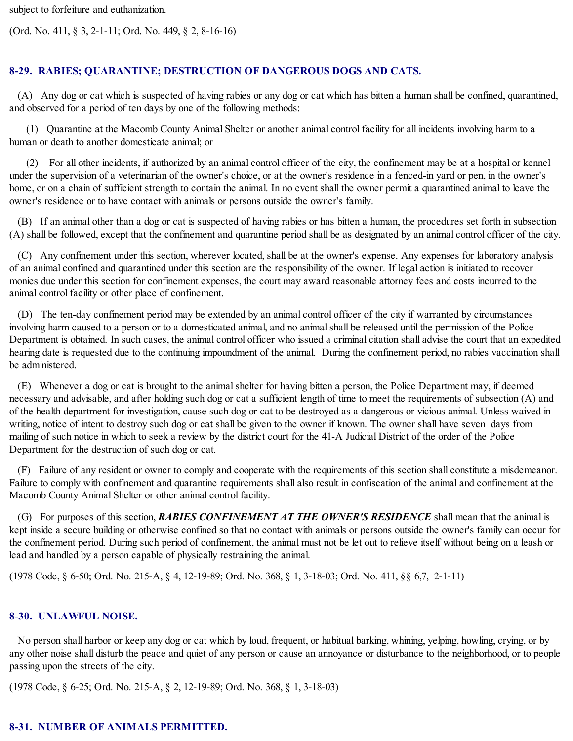subject to forfeiture and euthanization.

(Ord. No. 411, § 3, 2-1-11; Ord. No. 449, § 2, 8-16-16)

## **8-29. RABIES; QUARANTINE; DESTRUCTION OF DANGEROUS DOGS AND CATS.**

(A) Any dog or cat which is suspected of having rabies or any dog or cat which has bitten a human shall be confined, quarantined, and observed for a period of ten days by one of the following methods:

(1) Quarantine at the Macomb County Animal Shelter or another animal control facility for all incidents involving harm to a human or death to another domesticate animal; or

(2) For all other incidents, if authorized by an animal control officer of the city, the confinement may be at a hospital or kennel under the supervision of a veterinarian of the owner's choice, or at the owner's residence in a fenced-in yard or pen, in the owner's home, or on a chain of sufficient strength to contain the animal. In no event shall the owner permit a quarantined animal to leave the owner's residence or to have contact with animals or persons outside the owner's family.

(B) If an animal other than a dog or cat is suspected of having rabies or has bitten a human, the procedures set forth in subsection (A) shall be followed, except that the confinement and quarantine period shall be as designated by an animal control officer of the city.

(C) Any confinement under this section, wherever located, shall be at the owner's expense. Any expenses for laboratory analysis of an animal confined and quarantined under this section are the responsibility of the owner. If legal action is initiated to recover monies due under this section for confinement expenses, the court may award reasonable attorney fees and costs incurred to the animal control facility or other place of confinement.

(D) The ten-day confinement period may be extended by an animal control officer of the city if warranted by circumstances involving harm caused to a person or to a domesticated animal, and no animalshall be released until the permission of the Police Department is obtained. In such cases, the animal control officer who issued a criminal citation shall advise the court that an expedited hearing date is requested due to the continuing impoundment of the animal. During the confinement period, no rabies vaccination shall be administered.

(E) Whenever a dog or cat is brought to the animalshelter for having bitten a person, the Police Department may, if deemed necessary and advisable, and after holding such dog or cat a sufficient length of time to meet the requirements of subsection (A) and of the health department for investigation, cause such dog or cat to be destroyed as a dangerous or vicious animal. Unless waived in writing, notice of intent to destroy such dog or cat shall be given to the owner if known. The owner shall have seven days from mailing of such notice in which to seek a review by the district court for the 41-A Judicial District of the order of the Police Department for the destruction of such dog or cat.

(F) Failure of any resident or owner to comply and cooperate with the requirements of this section shall constitute a misdemeanor. Failure to comply with confinement and quarantine requirements shall also result in confiscation of the animal and confinement at the Macomb County Animal Shelter or other animal control facility.

(G) For purposes of this section, *RABIES CONFINEMENT AT THE OWNER'S RESIDENCE* shall mean that the animal is kept inside a secure building or otherwise confined so that no contact with animals or persons outside the owner's family can occur for the confinement period. During such period of confinement, the animal must not be let out to relieve itself without being on a leash or lead and handled by a person capable of physically restraining the animal.

(1978 Code, § 6-50; Ord. No. 215-A, § 4, 12-19-89; Ord. No. 368, § 1, 3-18-03; Ord. No. 411, §§ 6,7, 2-1-11)

## **8-30. UNLAWFUL NOISE.**

No person shall harbor or keep any dog or cat which by loud, frequent, or habitual barking, whining, yelping, howling, crying, or by any other noise shall disturb the peace and quiet of any person or cause an annoyance or disturbance to the neighborhood, or to people passing upon the streets of the city.

(1978 Code, § 6-25; Ord. No. 215-A, § 2, 12-19-89; Ord. No. 368, § 1, 3-18-03)

## **8-31. NUMBER OF ANIMALS PERMITTED.**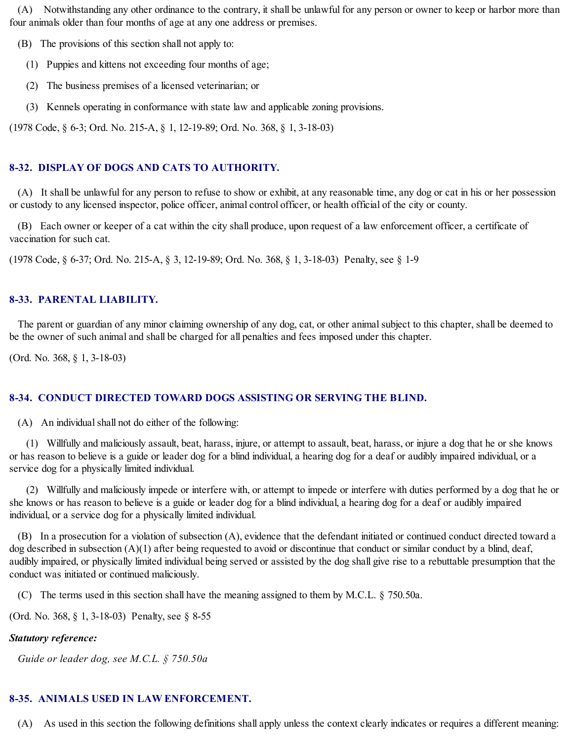(A) Notwithstanding any other ordinance to the contrary, it shall be unlawful for any person or owner to keep or harbor more than four animals older than four months of age at any one address or premises.

(B) The provisions of this section shall not apply to:

- (1) Puppies and kittens not exceeding four months of age;
- (2) The business premises of a licensed veterinarian; or
- (3) Kennels operating in conformance with state law and applicable zoning provisions.

(1978 Code, § 6-3; Ord. No. 215-A, § 1, 12-19-89; Ord. No. 368, § 1, 3-18-03)

# **8-32. DISPLAY OF DOGS AND CATS TO AUTHORITY.**

(A) It shall be unlawful for any person to refuse to show or exhibit, at any reasonable time, any dog or cat in his or her possession or custody to any licensed inspector, police officer, animal control officer, or health official of the city or county.

(B) Each owner or keeper of a cat within the city shall produce, upon request of a law enforcement officer, a certificate of vaccination for such cat.

(1978 Code, § 6-37; Ord. No. 215-A, § 3, 12-19-89; Ord. No. 368, § 1, 3-18-03) Penalty, see § 1-9

## **8-33. PARENTAL LIABILITY.**

The parent or guardian of any minor claiming ownership of any dog, cat, or other animal subject to this chapter, shall be deemed to be the owner of such animal and shall be charged for all penalties and fees imposed under this chapter.

(Ord. No. 368, § 1, 3-18-03)

# **8-34. CONDUCT DIRECTED TOWARD DOGS ASSISTING OR SERVING THE BLIND.**

 $(A)$  An individual shall not do either of the following:

(1) Willfully and maliciously assault, beat, harass, injure, or attempt to assault, beat, harass, or injure a dog that he or she knows or has reason to believe is a guide or leader dog for a blind individual, a hearing dog for a deaf or audibly impaired individual, or a service dog for a physically limited individual.

(2) Willfully and maliciously impede or interfere with, or attempt to impede or interfere with duties performed by a dog that he or she knows or has reason to believe is a guide or leader dog for a blind individual, a hearing dog for a deaf or audibly impaired individual, or a service dog for a physically limited individual.

(B) In a prosecution for a violation of subsection (A), evidence that the defendant initiated or continued conduct directed toward a dog described in subsection (A)(1) after being requested to avoid or discontinue that conduct or similar conduct by a blind, deaf, audibly impaired, or physically limited individual being served or assisted by the dog shall give rise to a rebuttable presumption that the conduct was initiated or continued maliciously.

(C) The terms used in this section shall have the meaning assigned to them by M.C.L. § 750.50a.

(Ord. No. 368, § 1, 3-18-03) Penalty, see § 8-55

## *Statutory reference:*

*Guide or leader dog, see M.C.L. § 750.50a*

#### **8-35. ANIMALS USED IN LAW ENFORCEMENT.**

(A) As used in this section the following definitions shall apply unless the context clearly indicates or requires a different meaning: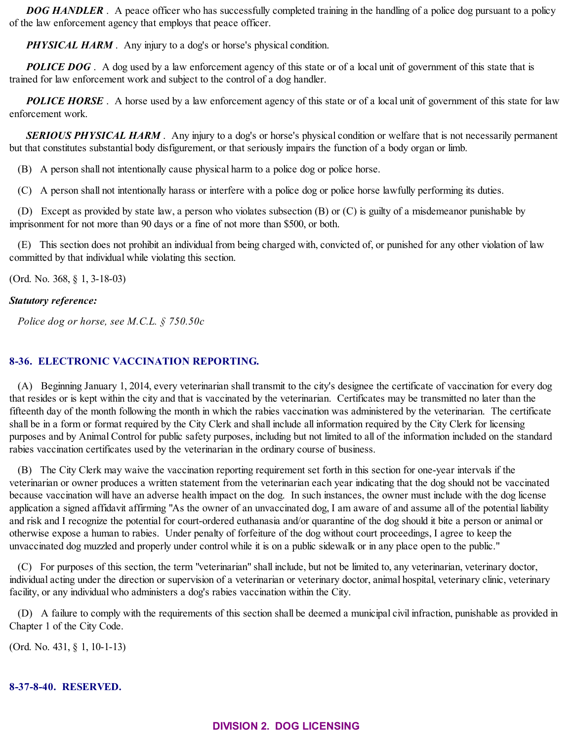*DOG HANDLER* . A peace officer who has successfully completed training in the handling of a police dog pursuant to a policy of the law enforcement agency that employs that peace officer.

*PHYSICAL HARM* . Any injury to a dog's or horse's physical condition.

**POLICE DOG**. A dog used by a law enforcement agency of this state or of a local unit of government of this state that is trained for law enforcement work and subject to the control of a dog handler.

**POLICE HORSE**. A horse used by a law enforcement agency of this state or of a local unit of government of this state for law enforcement work.

*SERIOUS PHYSICAL HARM* . Any injury to a dog's or horse's physical condition or welfare that is not necessarily permanent but that constitutes substantial body disfigurement, or that seriously impairs the function of a body organ or limb.

(B) A person shall not intentionally cause physical harm to a police dog or police horse.

(C) A person shall not intentionally harass or interfere with a police dog or police horse lawfully performing its duties.

(D) Except as provided by state law, a person who violates subsection (B) or (C) is guilty of a misdemeanor punishable by imprisonment for not more than 90 days or a fine of not more than \$500, or both.

(E) This section does not prohibit an individual from being charged with, convicted of, or punished for any other violation of law committed by that individual while violating this section.

(Ord. No. 368, § 1, 3-18-03)

## *Statutory reference:*

*Police dog or horse, see M.C.L. § 750.50c*

# **8-36. ELECTRONIC VACCINATION REPORTING.**

(A) Beginning January 1, 2014, every veterinarian shall transmit to the city's designee the certificate of vaccination for every dog that resides or is kept within the city and that is vaccinated by the veterinarian. Certificates may be transmitted no later than the fifteenth day of the month following the month in which the rabies vaccination was administered by the veterinarian. The certificate shall be in a form or format required by the City Clerk and shall include all information required by the City Clerk for licensing purposes and by Animal Control for public safety purposes, including but not limited to all of the information included on the standard rabies vaccination certificates used by the veterinarian in the ordinary course of business.

(B) The City Clerk may waive the vaccination reporting requirement set forth in this section for one-year intervals if the veterinarian or owner produces a written statement from the veterinarian each year indicating that the dog should not be vaccinated because vaccination will have an adverse health impact on the dog. In such instances, the owner must include with the dog license application a signed affidavit affirming "As the owner of an unvaccinated dog, I am aware of and assume all of the potential liability and risk and I recognize the potential for court-ordered euthanasia and/or quarantine of the dog should it bite a person or animal or otherwise expose a human to rabies. Under penalty of forfeiture of the dog without court proceedings, I agree to keep the unvaccinated dog muzzled and properly under control while it is on a public sidewalk or in any place open to the public."

(C) For purposes of this section, the term "veterinarian" shall include, but not be limited to, any veterinarian, veterinary doctor, individual acting under the direction or supervision of a veterinarian or veterinary doctor, animal hospital, veterinary clinic, veterinary facility, or any individual who administers a dog's rabies vaccination within the City.

(D) A failure to comply with the requirements of this section shall be deemed a municipal civil infraction, punishable as provided in Chapter 1 of the City Code.

(Ord. No. 431, § 1, 10-1-13)

## **8-37-8-40. RESERVED.**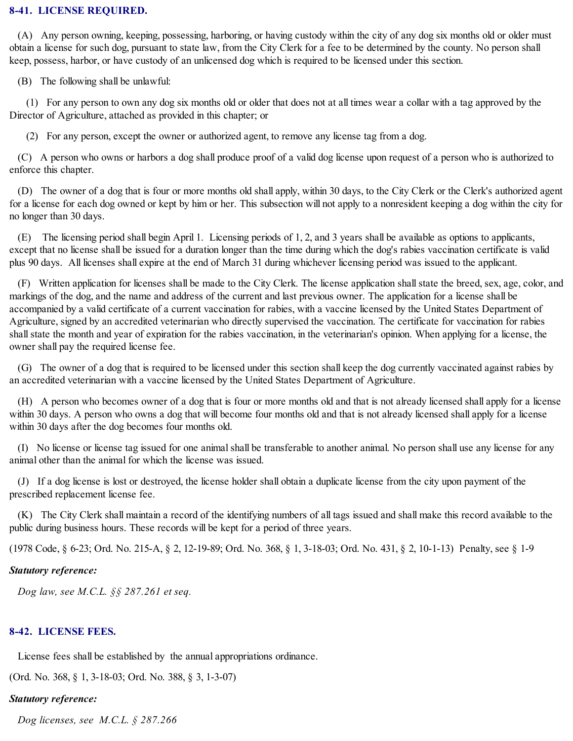#### **8-41. LICENSE REQUIRED.**

(A) Any person owning, keeping, possessing, harboring, or having custody within the city of any dog six months old or older must obtain a license for such dog, pursuant to state law, from the City Clerk for a fee to be determined by the county. No person shall keep, possess, harbor, or have custody of an unlicensed dog which is required to be licensed under this section.

(B) The following shall be unlawful:

(1) For any person to own any dog six months old or older that does not at all times wear a collar with a tag approved by the Director of Agriculture, attached as provided in this chapter; or

(2) For any person, except the owner or authorized agent, to remove any license tag from a dog.

(C) A person who owns or harbors a dog shall produce proof of a valid dog license upon request of a person who is authorized to enforce this chapter.

(D) The owner of a dog that is four or more months old shall apply, within 30 days, to the City Clerk or the Clerk's authorized agent for a license for each dog owned or kept by him or her. This subsection will not apply to a nonresident keeping a dog within the city for no longer than 30 days.

(E) The licensing period shall begin April 1. Licensing periods of 1, 2, and 3 years shall be available as options to applicants, except that no license shall be issued for a duration longer than the time during which the dog's rabies vaccination certificate is valid plus 90 days. All licenses shall expire at the end of March 31 during whichever licensing period was issued to the applicant.

(F) Written application for licenses shall be made to the City Clerk. The license application shallstate the breed, sex, age, color, and markings of the dog, and the name and address of the current and last previous owner. The application for a license shall be accompanied by a valid certificate of a current vaccination for rabies, with a vaccine licensed by the United States Department of Agriculture, signed by an accredited veterinarian who directly supervised the vaccination. The certificate for vaccination for rabies shallstate the month and year of expiration for the rabies vaccination, in the veterinarian's opinion. When applying for a license, the owner shall pay the required license fee.

(G) The owner of a dog that is required to be licensed under this section shall keep the dog currently vaccinated against rabies by an accredited veterinarian with a vaccine licensed by the United States Department of Agriculture.

(H) A person who becomes owner of a dog that is four or more months old and that is not already licensed shall apply for a license within 30 days. A person who owns a dog that will become four months old and that is not already licensed shall apply for a license within 30 days after the dog becomes four months old.

(I) No license or license tag issued for one animalshall be transferable to another animal. No person shall use any license for any animal other than the animal for which the license was issued.

(J) If a dog license is lost or destroyed, the license holder shall obtain a duplicate license from the city upon payment of the prescribed replacement license fee.

(K) The City Clerk shall maintain a record of the identifying numbers of all tags issued and shall make this record available to the public during business hours. These records will be kept for a period of three years.

(1978 Code, § 6-23; Ord. No. 215-A, § 2, 12-19-89; Ord. No. 368, § 1, 3-18-03; Ord. No. 431, § 2, 10-1-13) Penalty, see § 1-9

#### *Statutory reference:*

*Dog law, see M.C.L. §§ 287.261 et seq.*

## **8-42. LICENSE FEES.**

License fees shall be established by the annual appropriations ordinance.

(Ord. No. 368, § 1, 3-18-03; Ord. No. 388, § 3, 1-3-07)

## *Statutory reference:*

*Dog licenses, see M.C.L. § 287.266*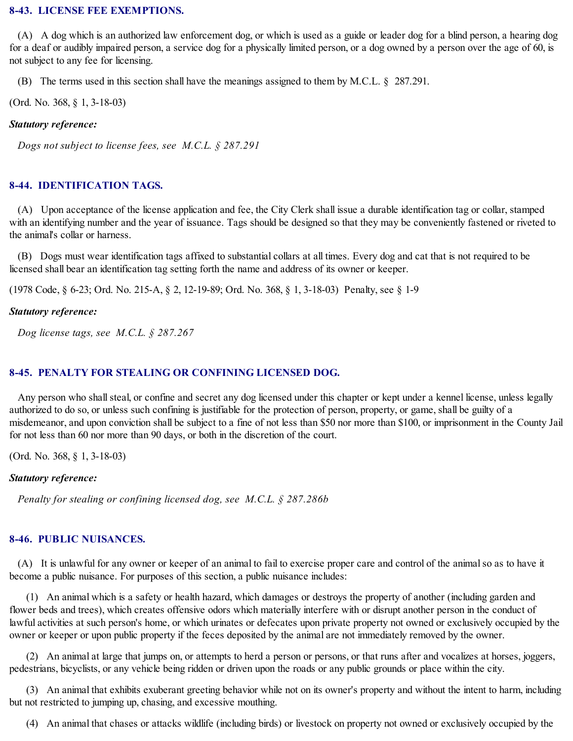#### **8-43. LICENSE FEE EXEMPTIONS.**

(A) A dog which is an authorized law enforcement dog, or which is used as a guide or leader dog for a blind person, a hearing dog for a deaf or audibly impaired person, a service dog for a physically limited person, or a dog owned by a person over the age of 60, is not subject to any fee for licensing.

(B) The terms used in this section shall have the meanings assigned to them by M.C.L. § 287.291.

(Ord. No. 368, § 1, 3-18-03)

#### *Statutory reference:*

*Dogs not subject to license fees, see M.C.L. § 287.291*

## **8-44. IDENTIFICATION TAGS.**

(A) Upon acceptance of the license application and fee, the City Clerk shall issue a durable identification tag or collar, stamped with an identifying number and the year of issuance. Tags should be designed so that they may be conveniently fastened or riveted to the animal's collar or harness.

(B) Dogs must wear identification tags affixed to substantial collars at all times. Every dog and cat that is not required to be licensed shall bear an identification tag setting forth the name and address of its owner or keeper.

(1978 Code, § 6-23; Ord. No. 215-A, § 2, 12-19-89; Ord. No. 368, § 1, 3-18-03) Penalty, see § 1-9

#### *Statutory reference:*

*Dog license tags, see M.C.L. § 287.267*

## **8-45. PENALTY FOR STEALING OR CONFINING LICENSED DOG.**

Any person who shall steal, or confine and secret any dog licensed under this chapter or kept under a kennel license, unless legally authorized to do so, or unless such confining is justifiable for the protection of person, property, or game, shall be guilty of a misdemeanor, and upon conviction shall be subject to a fine of not less than \$50 nor more than \$100, or imprisonment in the County Jail for not less than 60 nor more than 90 days, or both in the discretion of the court.

(Ord. No. 368, § 1, 3-18-03)

#### *Statutory reference:*

*Penalty for stealing or confining licensed dog, see M.C.L. § 287.286b*

#### **8-46. PUBLIC NUISANCES.**

(A) It is unlawful for any owner or keeper of an animal to fail to exercise proper care and control of the animalso as to have it become a public nuisance. For purposes of this section, a public nuisance includes:

(1) An animal which is a safety or health hazard, which damages or destroys the property of another (including garden and flower beds and trees), which creates offensive odors which materially interfere with or disrupt another person in the conduct of lawful activities at such person's home, or which urinates or defecates upon private property not owned or exclusively occupied by the owner or keeper or upon public property if the feces deposited by the animal are not immediately removed by the owner.

(2) An animal at large that jumps on, or attempts to herd a person or persons, or that runs after and vocalizes at horses, joggers, pedestrians, bicyclists, or any vehicle being ridden or driven upon the roads or any public grounds or place within the city.

(3) An animal that exhibits exuberant greeting behavior while not on its owner's property and without the intent to harm, including but not restricted to jumping up, chasing, and excessive mouthing.

(4) An animal that chases or attacks wildlife (including birds) or livestock on property not owned or exclusively occupied by the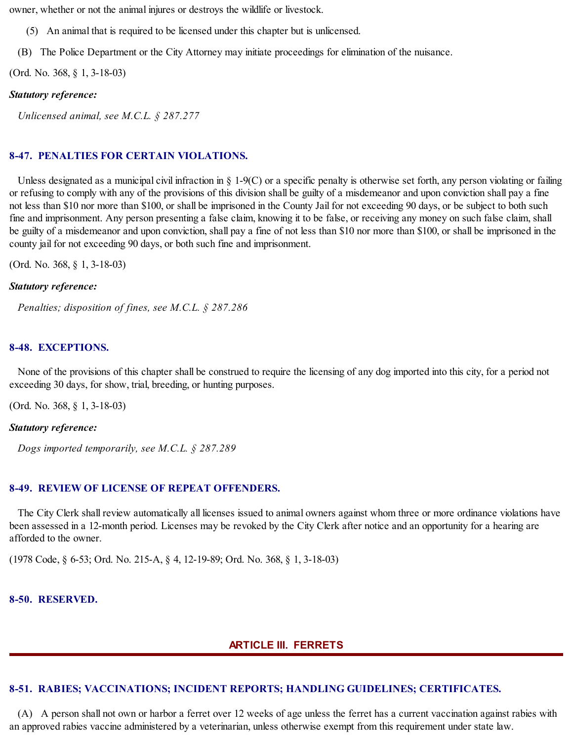owner, whether or not the animal injures or destroys the wildlife or livestock.

(5) An animal that is required to be licensed under this chapter but is unlicensed.

(B) The Police Department or the City Attorney may initiate proceedings for elimination of the nuisance.

(Ord. No. 368, § 1, 3-18-03)

## *Statutory reference:*

*Unlicensed animal, see M.C.L. § 287.277*

## **8-47. PENALTIES FOR CERTAIN VIOLATIONS.**

Unless designated as a municipal civil infraction in § 1-9(C) or a specific penalty is otherwise set forth, any person violating or failing or refusing to comply with any of the provisions of this division shall be guilty of a misdemeanor and upon conviction shall pay a fine not less than \$10 nor more than \$100, or shall be imprisoned in the County Jail for not exceeding 90 days, or be subject to both such fine and imprisonment. Any person presenting a false claim, knowing it to be false, or receiving any money on such false claim, shall be guilty of a misdemeanor and upon conviction, shall pay a fine of not less than \$10 nor more than \$100, or shall be imprisoned in the county jail for not exceeding 90 days, or both such fine and imprisonment.

(Ord. No. 368, § 1, 3-18-03)

#### *Statutory reference:*

*Penalties; disposition of fines, see M.C.L. § 287.286*

## **8-48. EXCEPTIONS.**

None of the provisions of this chapter shall be construed to require the licensing of any dog imported into this city, for a period not exceeding 30 days, for show, trial, breeding, or hunting purposes.

(Ord. No. 368, § 1, 3-18-03)

## *Statutory reference:*

*Dogs imported temporarily, see M.C.L. § 287.289*

# **8-49. REVIEW OF LICENSE OF REPEAT OFFENDERS.**

The City Clerk shall review automatically all licenses issued to animal owners against whom three or more ordinance violations have been assessed in a 12-month period. Licenses may be revoked by the City Clerk after notice and an opportunity for a hearing are afforded to the owner.

(1978 Code, § 6-53; Ord. No. 215-A, § 4, 12-19-89; Ord. No. 368, § 1, 3-18-03)

## **8-50. RESERVED.**

## **ARTICLE III. FERRETS**

# **8-51. RABIES; VACCINATIONS; INCIDENT REPORTS; HANDLING GUIDELINES; CERTIFICATES.**

(A) A person shall not own or harbor a ferret over 12 weeks of age unless the ferret has a current vaccination against rabies with an approved rabies vaccine administered by a veterinarian, unless otherwise exempt from this requirement under state law.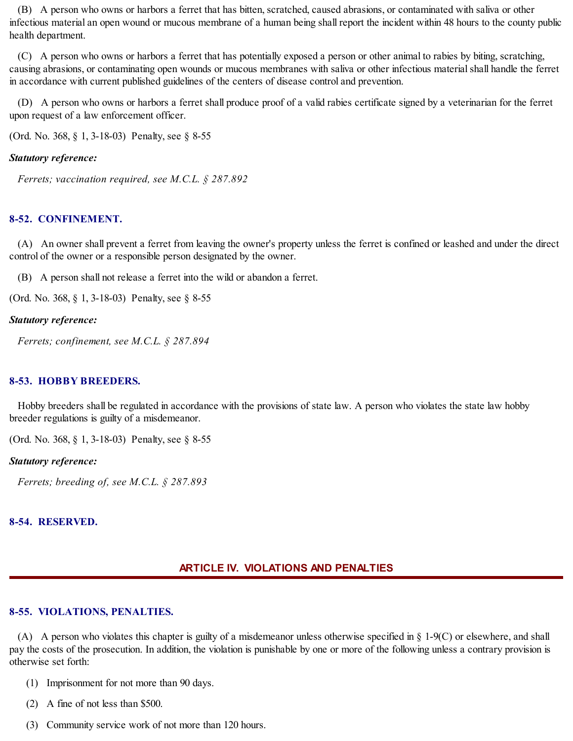(B) A person who owns or harbors a ferret that has bitten, scratched, caused abrasions, or contaminated with saliva or other infectious material an open wound or mucous membrane of a human being shall report the incident within 48 hours to the county public health department.

(C) A person who owns or harbors a ferret that has potentially exposed a person or other animal to rabies by biting, scratching, causing abrasions, or contaminating open wounds or mucous membranes with saliva or other infectious materialshall handle the ferret in accordance with current published guidelines of the centers of disease control and prevention.

(D) A person who owns or harbors a ferret shall produce proof of a valid rabies certificate signed by a veterinarian for the ferret upon request of a law enforcement officer.

(Ord. No. 368, § 1, 3-18-03) Penalty, see § 8-55

#### *Statutory reference:*

*Ferrets; vaccination required, see M.C.L. § 287.892*

#### **8-52. CONFINEMENT.**

(A) An owner shall prevent a ferret from leaving the owner's property unless the ferret is confined or leashed and under the direct control of the owner or a responsible person designated by the owner.

(B) A person shall not release a ferret into the wild or abandon a ferret.

(Ord. No. 368, § 1, 3-18-03) Penalty, see § 8-55

#### *Statutory reference:*

*Ferrets; confinement, see M.C.L. § 287.894*

#### **8-53. HOBBY BREEDERS.**

Hobby breeders shall be regulated in accordance with the provisions of state law. A person who violates the state law hobby breeder regulations is guilty of a misdemeanor.

(Ord. No. 368, § 1, 3-18-03) Penalty, see § 8-55

#### *Statutory reference:*

*Ferrets; breeding of, see M.C.L. § 287.893*

#### **8-54. RESERVED.**

#### **ARTICLE IV. VIOLATIONS AND PENALTIES**

#### **8-55. VIOLATIONS, PENALTIES.**

(A) A person who violates this chapter is guilty of a misdemeanor unless otherwise specified in § 1-9(C) or elsewhere, and shall pay the costs of the prosecution. In addition, the violation is punishable by one or more of the following unless a contrary provision is otherwise set forth:

- (1) Imprisonment for not more than 90 days.
- (2) A fine of not less than \$500.
- (3) Community service work of not more than 120 hours.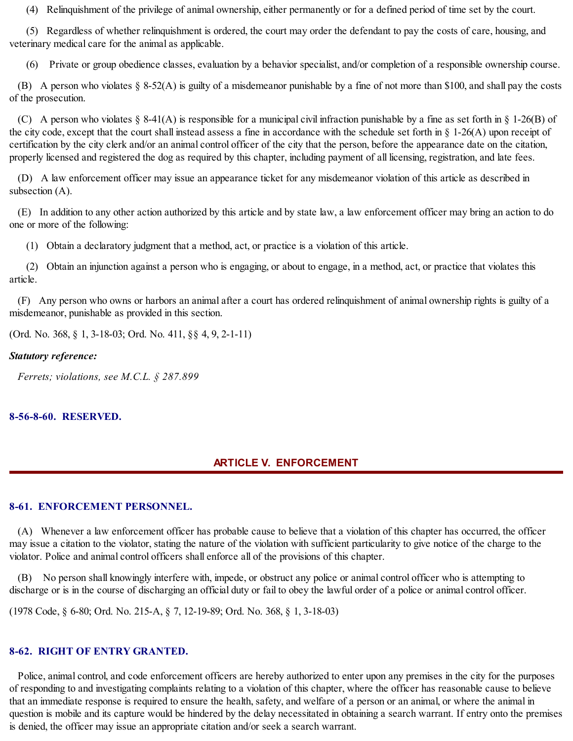(4) Relinquishment of the privilege of animal ownership, either permanently or for a defined period of time set by the court.

(5) Regardless of whether relinquishment is ordered, the court may order the defendant to pay the costs of care, housing, and veterinary medical care for the animal as applicable.

(6) Private or group obedience classes, evaluation by a behavior specialist, and/or completion of a responsible ownership course.

(B) A person who violates § 8-52(A) is guilty of a misdemeanor punishable by a fine of not more than \$100, and shall pay the costs of the prosecution.

(C) A person who violates § 8-41(A) is responsible for a municipal civil infraction punishable by a fine as set forth in § 1-26(B) of the city code, except that the court shall instead assess a fine in accordance with the schedule set forth in § 1-26(A) upon receipt of certification by the city clerk and/or an animal control officer of the city that the person, before the appearance date on the citation, properly licensed and registered the dog as required by this chapter, including payment of all licensing, registration, and late fees.

(D) A law enforcement officer may issue an appearance ticket for any misdemeanor violation of this article as described in subsection (A).

(E) In addition to any other action authorized by this article and by state law, a law enforcement officer may bring an action to do one or more of the following:

(1) Obtain a declaratory judgment that a method, act, or practice is a violation of this article.

(2) Obtain an injunction against a person who is engaging, or about to engage, in a method, act, or practice that violates this article.

(F) Any person who owns or harbors an animal after a court has ordered relinquishment of animal ownership rights is guilty of a misdemeanor, punishable as provided in this section.

(Ord. No. 368, § 1, 3-18-03; Ord. No. 411, §§ 4, 9, 2-1-11)

#### *Statutory reference:*

*Ferrets; violations, see M.C.L. § 287.899*

## **8-56-8-60. RESERVED.**

# **ARTICLE V. ENFORCEMENT**

## **8-61. ENFORCEMENT PERSONNEL.**

(A) Whenever a law enforcement officer has probable cause to believe that a violation of this chapter has occurred, the officer may issue a citation to the violator, stating the nature of the violation with sufficient particularity to give notice of the charge to the violator. Police and animal control officers shall enforce all of the provisions of this chapter.

(B) No person shall knowingly interfere with, impede, or obstruct any police or animal control officer who is attempting to discharge or is in the course of discharging an official duty or fail to obey the lawful order of a police or animal control officer.

(1978 Code, § 6-80; Ord. No. 215-A, § 7, 12-19-89; Ord. No. 368, § 1, 3-18-03)

# **8-62. RIGHT OF ENTRY GRANTED.**

Police, animal control, and code enforcement officers are hereby authorized to enter upon any premises in the city for the purposes of responding to and investigating complaints relating to a violation of this chapter, where the officer has reasonable cause to believe that an immediate response is required to ensure the health, safety, and welfare of a person or an animal, or where the animal in question is mobile and its capture would be hindered by the delay necessitated in obtaining a search warrant. If entry onto the premises is denied, the officer may issue an appropriate citation and/or seek a search warrant.